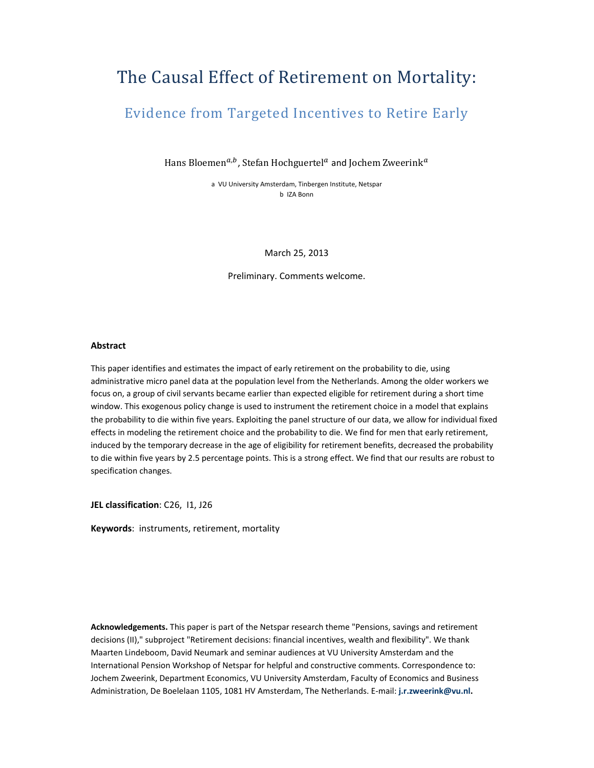# The Causal Effect of Retirement on Mortality:

## Evidence from Targeted Incentives to Retire Early

Hans Bloemen<sup>a,b</sup>, Stefan Hochguertel<sup>a</sup> and Jochem Zweerink<sup>a</sup>

a VU University Amsterdam, Tinbergen Institute, Netspar b IZA Bonn

March 25, 2013

Preliminary. Comments welcome.

#### **Abstract**

This paper identifies and estimates the impact of early retirement on the probability to die, using administrative micro panel data at the population level from the Netherlands. Among the older workers we focus on, a group of civil servants became earlier than expected eligible for retirement during a short time window. This exogenous policy change is used to instrument the retirement choice in a model that explains the probability to die within five years. Exploiting the panel structure of our data, we allow for individual fixed effects in modeling the retirement choice and the probability to die. We find for men that early retirement, induced by the temporary decrease in the age of eligibility for retirement benefits, decreased the probability to die within five years by 2.5 percentage points. This is a strong effect. We find that our results are robust to specification changes.

**JEL classification**: C26, I1, J26

**Keywords**: instruments, retirement, mortality

**Acknowledgements.** This paper is part of the Netspar research theme "Pensions, savings and retirement decisions (II)," subproject "Retirement decisions: financial incentives, wealth and flexibility". We thank Maarten Lindeboom, David Neumark and seminar audiences at VU University Amsterdam and the International Pension Workshop of Netspar for helpful and constructive comments. Correspondence to: Jochem Zweerink, Department Economics, VU University Amsterdam, Faculty of Economics and Business Administration, De Boelelaan 1105, 1081 HV Amsterdam, The Netherlands. E‐mail: **j.r.zweerink@vu.nl.**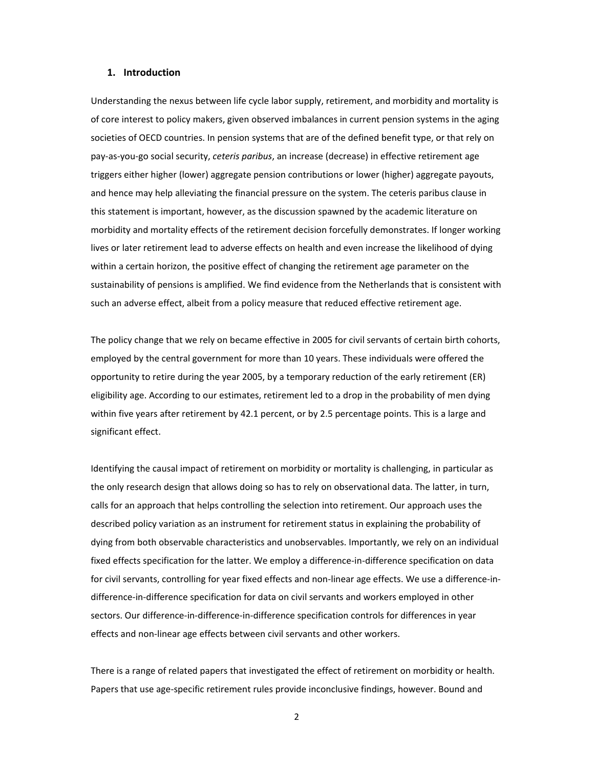#### **1. Introduction**

Understanding the nexus between life cycle labor supply, retirement, and morbidity and mortality is of core interest to policy makers, given observed imbalances in current pension systems in the aging societies of OECD countries. In pension systems that are of the defined benefit type, or that rely on pay‐as‐you‐go social security, *ceteris paribus*, an increase (decrease) in effective retirement age triggers either higher (lower) aggregate pension contributions or lower (higher) aggregate payouts, and hence may help alleviating the financial pressure on the system. The ceteris paribus clause in this statement is important, however, as the discussion spawned by the academic literature on morbidity and mortality effects of the retirement decision forcefully demonstrates. If longer working lives or later retirement lead to adverse effects on health and even increase the likelihood of dying within a certain horizon, the positive effect of changing the retirement age parameter on the sustainability of pensions is amplified. We find evidence from the Netherlands that is consistent with such an adverse effect, albeit from a policy measure that reduced effective retirement age.

The policy change that we rely on became effective in 2005 for civil servants of certain birth cohorts, employed by the central government for more than 10 years. These individuals were offered the opportunity to retire during the year 2005, by a temporary reduction of the early retirement (ER) eligibility age. According to our estimates, retirement led to a drop in the probability of men dying within five years after retirement by 42.1 percent, or by 2.5 percentage points. This is a large and significant effect.

Identifying the causal impact of retirement on morbidity or mortality is challenging, in particular as the only research design that allows doing so has to rely on observational data. The latter, in turn, calls for an approach that helps controlling the selection into retirement. Our approach uses the described policy variation as an instrument for retirement status in explaining the probability of dying from both observable characteristics and unobservables. Importantly, we rely on an individual fixed effects specification for the latter. We employ a difference-in-difference specification on data for civil servants, controlling for year fixed effects and non-linear age effects. We use a difference-indifference‐in‐difference specification for data on civil servants and workers employed in other sectors. Our difference-in-difference-in-difference specification controls for differences in year effects and non‐linear age effects between civil servants and other workers.

There is a range of related papers that investigated the effect of retirement on morbidity or health. Papers that use age‐specific retirement rules provide inconclusive findings, however. Bound and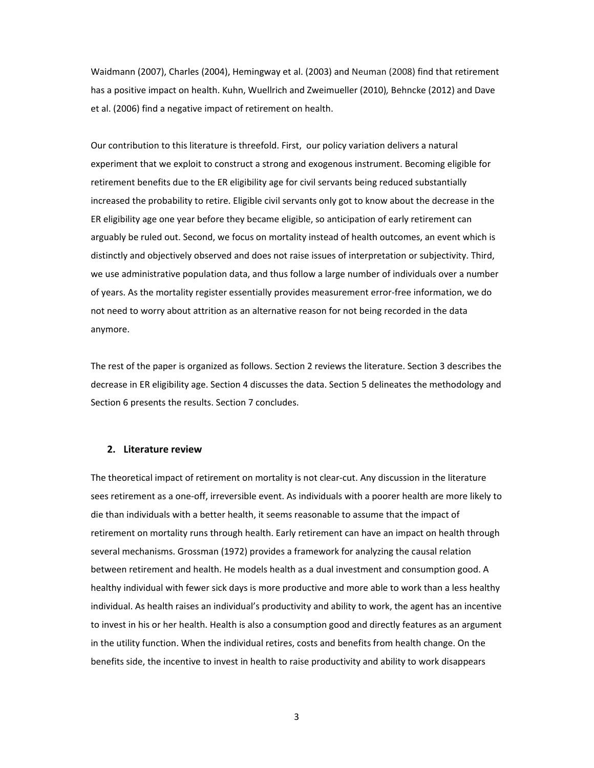Waidmann (2007), Charles (2004), Hemingway et al. (2003) and Neuman (2008) find that retirement has a positive impact on health. Kuhn, Wuellrich and Zweimueller (2010)*,* Behncke (2012) and Dave et al. (2006) find a negative impact of retirement on health.

Our contribution to this literature is threefold. First, our policy variation delivers a natural experiment that we exploit to construct a strong and exogenous instrument. Becoming eligible for retirement benefits due to the ER eligibility age for civil servants being reduced substantially increased the probability to retire. Eligible civil servants only got to know about the decrease in the ER eligibility age one year before they became eligible, so anticipation of early retirement can arguably be ruled out. Second, we focus on mortality instead of health outcomes, an event which is distinctly and objectively observed and does not raise issues of interpretation or subjectivity. Third, we use administrative population data, and thus follow a large number of individuals over a number of years. As the mortality register essentially provides measurement error‐free information, we do not need to worry about attrition as an alternative reason for not being recorded in the data anymore.

The rest of the paper is organized as follows. Section 2 reviews the literature. Section 3 describes the decrease in ER eligibility age. Section 4 discusses the data. Section 5 delineates the methodology and Section 6 presents the results. Section 7 concludes.

#### **2. Literature review**

The theoretical impact of retirement on mortality is not clear-cut. Any discussion in the literature sees retirement as a one‐off, irreversible event. As individuals with a poorer health are more likely to die than individuals with a better health, it seems reasonable to assume that the impact of retirement on mortality runs through health. Early retirement can have an impact on health through several mechanisms. Grossman (1972) provides a framework for analyzing the causal relation between retirement and health. He models health as a dual investment and consumption good. A healthy individual with fewer sick days is more productive and more able to work than a less healthy individual. As health raises an individual's productivity and ability to work, the agent has an incentive to invest in his or her health. Health is also a consumption good and directly features as an argument in the utility function. When the individual retires, costs and benefits from health change. On the benefits side, the incentive to invest in health to raise productivity and ability to work disappears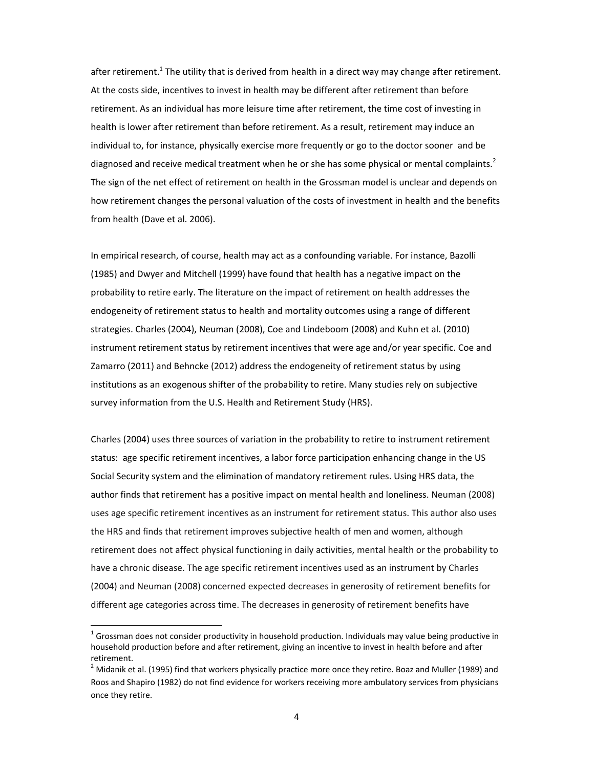after retirement.<sup>1</sup> The utility that is derived from health in a direct way may change after retirement. At the costs side, incentives to invest in health may be different after retirement than before retirement. As an individual has more leisure time after retirement, the time cost of investing in health is lower after retirement than before retirement. As a result, retirement may induce an individual to, for instance, physically exercise more frequently or go to the doctor sooner and be diagnosed and receive medical treatment when he or she has some physical or mental complaints.<sup>2</sup> The sign of the net effect of retirement on health in the Grossman model is unclear and depends on how retirement changes the personal valuation of the costs of investment in health and the benefits from health (Dave et al. 2006).

In empirical research, of course, health may act as a confounding variable. For instance, Bazolli (1985) and Dwyer and Mitchell (1999) have found that health has a negative impact on the probability to retire early. The literature on the impact of retirement on health addresses the endogeneity of retirement status to health and mortality outcomes using a range of different strategies. Charles (2004), Neuman (2008), Coe and Lindeboom (2008) and Kuhn et al. (2010) instrument retirement status by retirement incentives that were age and/or year specific. Coe and Zamarro (2011) and Behncke (2012) address the endogeneity of retirement status by using institutions as an exogenous shifter of the probability to retire. Many studies rely on subjective survey information from the U.S. Health and Retirement Study (HRS).

Charles (2004) uses three sources of variation in the probability to retire to instrument retirement status: age specific retirement incentives, a labor force participation enhancing change in the US Social Security system and the elimination of mandatory retirement rules. Using HRS data, the author finds that retirement has a positive impact on mental health and loneliness. Neuman (2008) uses age specific retirement incentives as an instrument for retirement status. This author also uses the HRS and finds that retirement improves subjective health of men and women, although retirement does not affect physical functioning in daily activities, mental health or the probability to have a chronic disease. The age specific retirement incentives used as an instrument by Charles (2004) and Neuman (2008) concerned expected decreases in generosity of retirement benefits for different age categories across time. The decreases in generosity of retirement benefits have

 $<sup>1</sup>$  Grossman does not consider productivity in household production. Individuals may value being productive in</sup> household production before and after retirement, giving an incentive to invest in health before and after retirement.<br><sup>2</sup> Midanik et al. (1995) find that workers physically practice more once they retire. Boaz and Muller (1989) and

Roos and Shapiro (1982) do not find evidence for workers receiving more ambulatory services from physicians once they retire.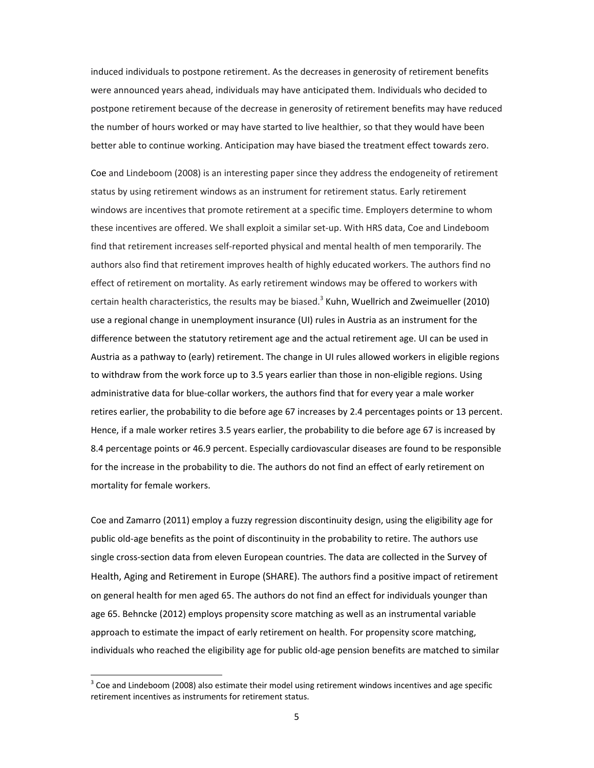induced individuals to postpone retirement. As the decreases in generosity of retirement benefits were announced years ahead, individuals may have anticipated them. Individuals who decided to postpone retirement because of the decrease in generosity of retirement benefits may have reduced the number of hours worked or may have started to live healthier, so that they would have been better able to continue working. Anticipation may have biased the treatment effect towards zero.

Coe and Lindeboom (2008) is an interesting paper since they address the endogeneity of retirement status by using retirement windows as an instrument for retirement status. Early retirement windows are incentives that promote retirement at a specific time. Employers determine to whom these incentives are offered. We shall exploit a similar set‐up. With HRS data, Coe and Lindeboom find that retirement increases self‐reported physical and mental health of men temporarily. The authors also find that retirement improves health of highly educated workers. The authors find no effect of retirement on mortality. As early retirement windows may be offered to workers with certain health characteristics, the results may be biased.<sup>3</sup> Kuhn, Wuellrich and Zweimueller (2010) use a regional change in unemployment insurance (UI) rules in Austria as an instrument for the difference between the statutory retirement age and the actual retirement age. UI can be used in Austria as a pathway to (early) retirement. The change in UI rules allowed workers in eligible regions to withdraw from the work force up to 3.5 years earlier than those in non‐eligible regions. Using administrative data for blue‐collar workers, the authors find that for every year a male worker retires earlier, the probability to die before age 67 increases by 2.4 percentages points or 13 percent. Hence, if a male worker retires 3.5 years earlier, the probability to die before age 67 is increased by 8.4 percentage points or 46.9 percent. Especially cardiovascular diseases are found to be responsible for the increase in the probability to die. The authors do not find an effect of early retirement on mortality for female workers.

Coe and Zamarro (2011) employ a fuzzy regression discontinuity design, using the eligibility age for public old-age benefits as the point of discontinuity in the probability to retire. The authors use single cross‐section data from eleven European countries. The data are collected in the Survey of Health, Aging and Retirement in Europe (SHARE). The authors find a positive impact of retirement on general health for men aged 65. The authors do not find an effect for individuals younger than age 65. Behncke (2012) employs propensity score matching as well as an instrumental variable approach to estimate the impact of early retirement on health. For propensity score matching, individuals who reached the eligibility age for public old‐age pension benefits are matched to similar

 $3$  Coe and Lindeboom (2008) also estimate their model using retirement windows incentives and age specific retirement incentives as instruments for retirement status.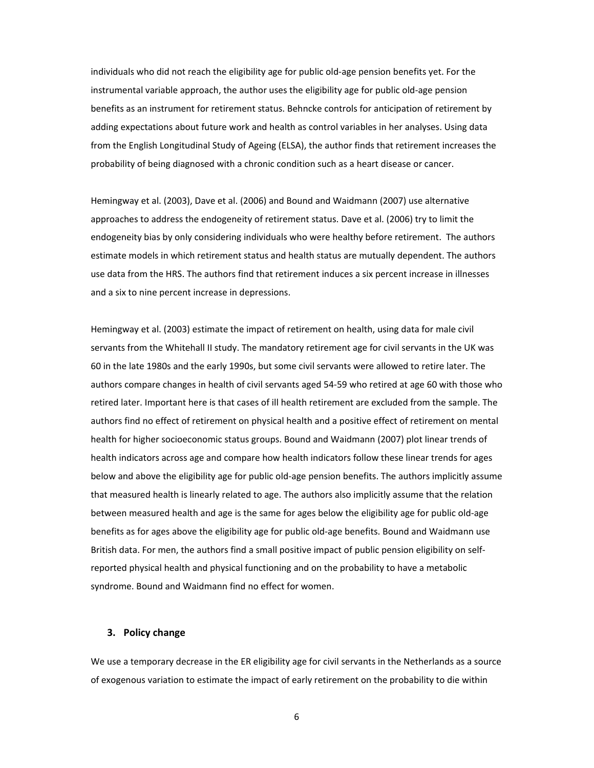individuals who did not reach the eligibility age for public old‐age pension benefits yet. For the instrumental variable approach, the author uses the eligibility age for public old‐age pension benefits as an instrument for retirement status. Behncke controls for anticipation of retirement by adding expectations about future work and health as control variables in her analyses. Using data from the English Longitudinal Study of Ageing (ELSA), the author finds that retirement increases the probability of being diagnosed with a chronic condition such as a heart disease or cancer.

Hemingway et al. (2003), Dave et al. (2006) and Bound and Waidmann (2007) use alternative approaches to address the endogeneity of retirement status. Dave et al. (2006) try to limit the endogeneity bias by only considering individuals who were healthy before retirement. The authors estimate models in which retirement status and health status are mutually dependent. The authors use data from the HRS. The authors find that retirement induces a six percent increase in illnesses and a six to nine percent increase in depressions.

Hemingway et al. (2003) estimate the impact of retirement on health, using data for male civil servants from the Whitehall II study. The mandatory retirement age for civil servants in the UK was 60 in the late 1980s and the early 1990s, but some civil servants were allowed to retire later. The authors compare changes in health of civil servants aged 54‐59 who retired at age 60 with those who retired later. Important here is that cases of ill health retirement are excluded from the sample. The authors find no effect of retirement on physical health and a positive effect of retirement on mental health for higher socioeconomic status groups. Bound and Waidmann (2007) plot linear trends of health indicators across age and compare how health indicators follow these linear trends for ages below and above the eligibility age for public old-age pension benefits. The authors implicitly assume that measured health is linearly related to age. The authors also implicitly assume that the relation between measured health and age is the same for ages below the eligibility age for public old‐age benefits as for ages above the eligibility age for public old‐age benefits. Bound and Waidmann use British data. For men, the authors find a small positive impact of public pension eligibility on self‐ reported physical health and physical functioning and on the probability to have a metabolic syndrome. Bound and Waidmann find no effect for women.

#### **3. Policy change**

We use a temporary decrease in the ER eligibility age for civil servants in the Netherlands as a source of exogenous variation to estimate the impact of early retirement on the probability to die within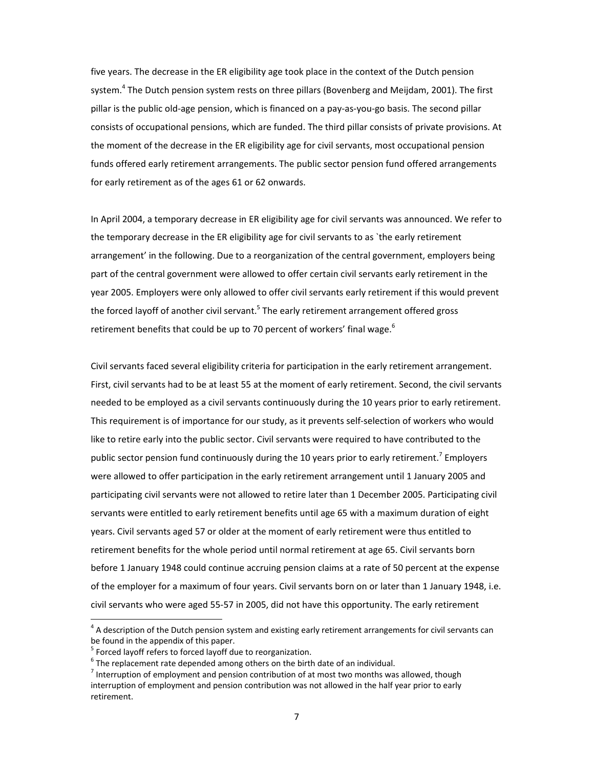five years. The decrease in the ER eligibility age took place in the context of the Dutch pension system.<sup>4</sup> The Dutch pension system rests on three pillars (Bovenberg and Meijdam, 2001). The first pillar is the public old‐age pension, which is financed on a pay‐as‐you‐go basis. The second pillar consists of occupational pensions, which are funded. The third pillar consists of private provisions. At the moment of the decrease in the ER eligibility age for civil servants, most occupational pension funds offered early retirement arrangements. The public sector pension fund offered arrangements for early retirement as of the ages 61 or 62 onwards.

In April 2004, a temporary decrease in ER eligibility age for civil servants was announced. We refer to the temporary decrease in the ER eligibility age for civil servants to as `the early retirement arrangement' in the following. Due to a reorganization of the central government, employers being part of the central government were allowed to offer certain civil servants early retirement in the year 2005. Employers were only allowed to offer civil servants early retirement if this would prevent the forced layoff of another civil servant.<sup>5</sup> The early retirement arrangement offered gross retirement benefits that could be up to 70 percent of workers' final wage.<sup>6</sup>

Civil servants faced several eligibility criteria for participation in the early retirement arrangement. First, civil servants had to be at least 55 at the moment of early retirement. Second, the civil servants needed to be employed as a civil servants continuously during the 10 years prior to early retirement. This requirement is of importance for our study, as it prevents self‐selection of workers who would like to retire early into the public sector. Civil servants were required to have contributed to the public sector pension fund continuously during the 10 years prior to early retirement.<sup>7</sup> Employers were allowed to offer participation in the early retirement arrangement until 1 January 2005 and participating civil servants were not allowed to retire later than 1 December 2005. Participating civil servants were entitled to early retirement benefits until age 65 with a maximum duration of eight years. Civil servants aged 57 or older at the moment of early retirement were thus entitled to retirement benefits for the whole period until normal retirement at age 65. Civil servants born before 1 January 1948 could continue accruing pension claims at a rate of 50 percent at the expense of the employer for a maximum of four years. Civil servants born on or later than 1 January 1948, i.e. civil servants who were aged 55‐57 in 2005, did not have this opportunity. The early retirement

 $4$  A description of the Dutch pension system and existing early retirement arrangements for civil servants can be found in the appendix of this paper.<br>
<sup>5</sup> Forced layoff refers to forced layoff due to reorganization.<br>
<sup>6</sup> The replacement rate depended among others on the birth date of an individual.<br>
<sup>7</sup> Interruption of employment

interruption of employment and pension contribution was not allowed in the half year prior to early retirement.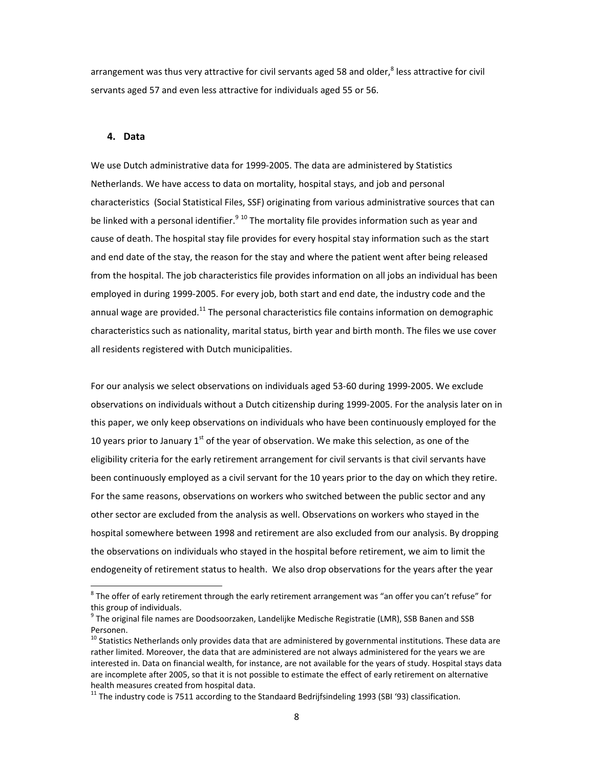arrangement was thus very attractive for civil servants aged 58 and older, $^8$  less attractive for civil servants aged 57 and even less attractive for individuals aged 55 or 56.

#### **4. Data**

We use Dutch administrative data for 1999‐2005. The data are administered by Statistics Netherlands. We have access to data on mortality, hospital stays, and job and personal characteristics (Social Statistical Files, SSF) originating from various administrative sources that can be linked with a personal identifier.<sup>9 10</sup> The mortality file provides information such as year and cause of death. The hospital stay file provides for every hospital stay information such as the start and end date of the stay, the reason for the stay and where the patient went after being released from the hospital. The job characteristics file provides information on all jobs an individual has been employed in during 1999‐2005. For every job, both start and end date, the industry code and the annual wage are provided.<sup>11</sup> The personal characteristics file contains information on demographic characteristics such as nationality, marital status, birth year and birth month. The files we use cover all residents registered with Dutch municipalities.

For our analysis we select observations on individuals aged 53‐60 during 1999‐2005. We exclude observations on individuals without a Dutch citizenship during 1999‐2005. For the analysis later on in this paper, we only keep observations on individuals who have been continuously employed for the 10 years prior to January 1<sup>st</sup> of the year of observation. We make this selection, as one of the eligibility criteria for the early retirement arrangement for civil servants is that civil servants have been continuously employed as a civil servant for the 10 years prior to the day on which they retire. For the same reasons, observations on workers who switched between the public sector and any other sector are excluded from the analysis as well. Observations on workers who stayed in the hospital somewhere between 1998 and retirement are also excluded from our analysis. By dropping the observations on individuals who stayed in the hospital before retirement, we aim to limit the endogeneity of retirement status to health. We also drop observations for the years after the year

 $8$  The offer of early retirement through the early retirement arrangement was "an offer you can't refuse" for this group of individuals.<br><sup>9</sup> The original file names are Doodsoorzaken, Landelijke Medische Registratie (LMR), SSB Banen and SSB

Personen.

 $10$  Statistics Netherlands only provides data that are administered by governmental institutions. These data are rather limited. Moreover, the data that are administered are not always administered for the years we are interested in. Data on financial wealth, for instance, are not available for the years of study. Hospital stays data are incomplete after 2005, so that it is not possible to estimate the effect of early retirement on alternative health measures created from hospital data.<br><sup>11</sup> The industry code is 7511 according to the Standaard Bedrijfsindeling 1993 (SBI '93) classification.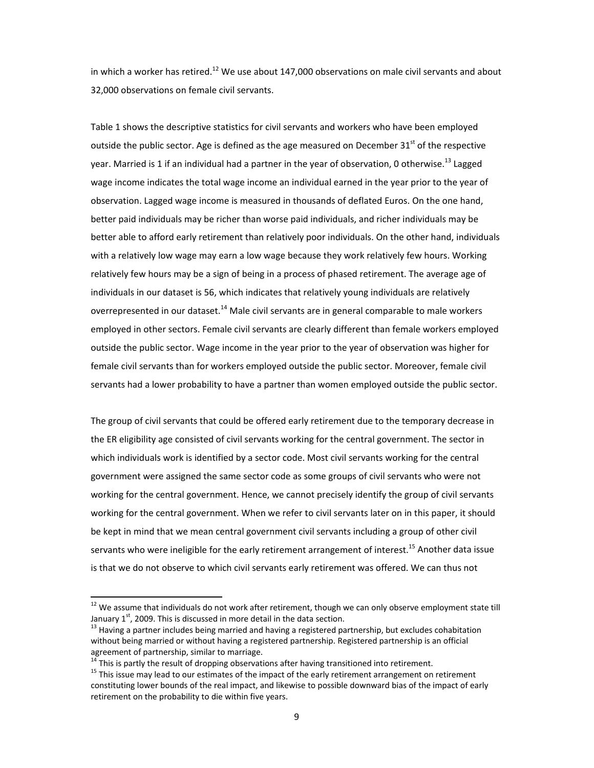in which a worker has retired.<sup>12</sup> We use about 147,000 observations on male civil servants and about 32,000 observations on female civil servants.

Table 1 shows the descriptive statistics for civil servants and workers who have been employed outside the public sector. Age is defined as the age measured on December 31 $^{\text{st}}$  of the respective year. Married is 1 if an individual had a partner in the year of observation, 0 otherwise.<sup>13</sup> Lagged wage income indicates the total wage income an individual earned in the year prior to the year of observation. Lagged wage income is measured in thousands of deflated Euros. On the one hand, better paid individuals may be richer than worse paid individuals, and richer individuals may be better able to afford early retirement than relatively poor individuals. On the other hand, individuals with a relatively low wage may earn a low wage because they work relatively few hours. Working relatively few hours may be a sign of being in a process of phased retirement. The average age of individuals in our dataset is 56, which indicates that relatively young individuals are relatively overrepresented in our dataset.<sup>14</sup> Male civil servants are in general comparable to male workers employed in other sectors. Female civil servants are clearly different than female workers employed outside the public sector. Wage income in the year prior to the year of observation was higher for female civil servants than for workers employed outside the public sector. Moreover, female civil servants had a lower probability to have a partner than women employed outside the public sector.

The group of civil servants that could be offered early retirement due to the temporary decrease in the ER eligibility age consisted of civil servants working for the central government. The sector in which individuals work is identified by a sector code. Most civil servants working for the central government were assigned the same sector code as some groups of civil servants who were not working for the central government. Hence, we cannot precisely identify the group of civil servants working for the central government. When we refer to civil servants later on in this paper, it should be kept in mind that we mean central government civil servants including a group of other civil servants who were ineligible for the early retirement arrangement of interest.<sup>15</sup> Another data issue is that we do not observe to which civil servants early retirement was offered. We can thus not

<sup>&</sup>lt;sup>12</sup> We assume that individuals do not work after retirement, though we can only observe employment state till January  $1<sup>st</sup>$ , 2009. This is discussed in more detail in the data section.

 $^{13}$  Having a partner includes being married and having a registered partnership, but excludes cohabitation without being married or without having a registered partnership. Registered partnership is an official

agreement of partnership, similar to marriage.<br><sup>14</sup> This is partly the result of dropping observations after having transitioned into retirement.<br><sup>15</sup> This issue may lead to our estimates of the impact of the early retire constituting lower bounds of the real impact, and likewise to possible downward bias of the impact of early retirement on the probability to die within five years.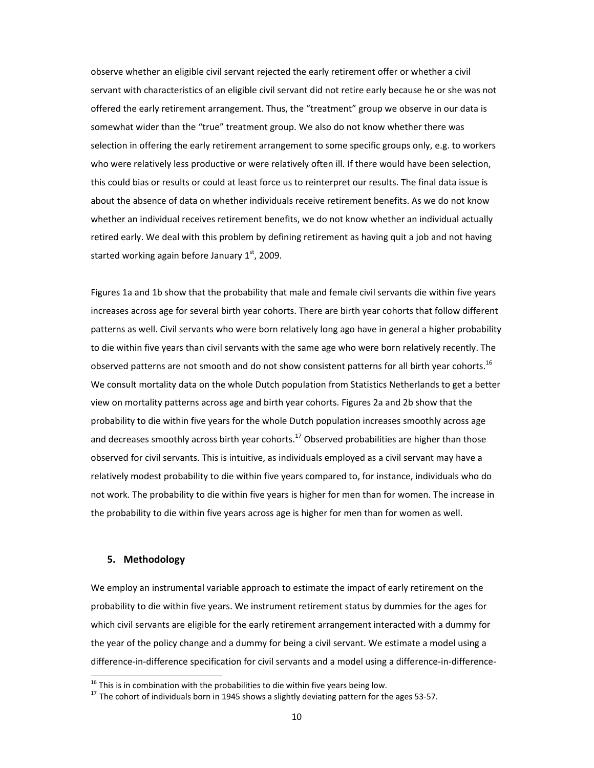observe whether an eligible civil servant rejected the early retirement offer or whether a civil servant with characteristics of an eligible civil servant did not retire early because he or she was not offered the early retirement arrangement. Thus, the "treatment" group we observe in our data is somewhat wider than the "true" treatment group. We also do not know whether there was selection in offering the early retirement arrangement to some specific groups only, e.g. to workers who were relatively less productive or were relatively often ill. If there would have been selection, this could bias or results or could at least force us to reinterpret our results. The final data issue is about the absence of data on whether individuals receive retirement benefits. As we do not know whether an individual receives retirement benefits, we do not know whether an individual actually retired early. We deal with this problem by defining retirement as having quit a job and not having started working again before January  $1<sup>st</sup>$ , 2009.

Figures 1a and 1b show that the probability that male and female civil servants die within five years increases across age for several birth year cohorts. There are birth year cohorts that follow different patterns as well. Civil servants who were born relatively long ago have in general a higher probability to die within five years than civil servants with the same age who were born relatively recently. The observed patterns are not smooth and do not show consistent patterns for all birth year cohorts.<sup>16</sup> We consult mortality data on the whole Dutch population from Statistics Netherlands to get a better view on mortality patterns across age and birth year cohorts. Figures 2a and 2b show that the probability to die within five years for the whole Dutch population increases smoothly across age and decreases smoothly across birth year cohorts.<sup>17</sup> Observed probabilities are higher than those observed for civil servants. This is intuitive, as individuals employed as a civil servant may have a relatively modest probability to die within five years compared to, for instance, individuals who do not work. The probability to die within five years is higher for men than for women. The increase in the probability to die within five years across age is higher for men than for women as well.

### **5. Methodology**

We employ an instrumental variable approach to estimate the impact of early retirement on the probability to die within five years. We instrument retirement status by dummies for the ages for which civil servants are eligible for the early retirement arrangement interacted with a dummy for the year of the policy change and a dummy for being a civil servant. We estimate a model using a difference‐in‐difference specification for civil servants and a model using a difference‐in‐difference‐

 $^{16}$  This is in combination with the probabilities to die within five years being low.

<sup>&</sup>lt;sup>17</sup> The cohort of individuals born in 1945 shows a slightly deviating pattern for the ages 53‐57.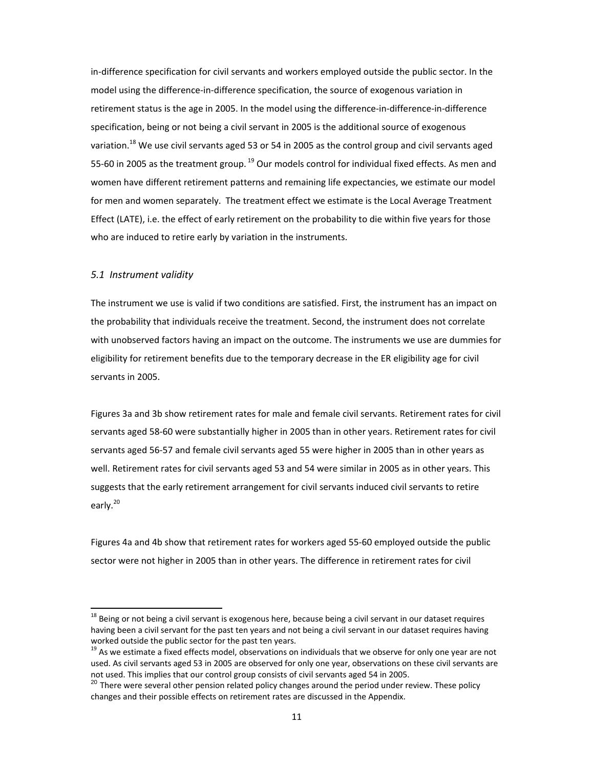in‐difference specification for civil servants and workers employed outside the public sector. In the model using the difference‐in‐difference specification, the source of exogenous variation in retirement status is the age in 2005. In the model using the difference‐in‐difference‐in‐difference specification, being or not being a civil servant in 2005 is the additional source of exogenous variation.<sup>18</sup> We use civil servants aged 53 or 54 in 2005 as the control group and civil servants aged 55-60 in 2005 as the treatment group. <sup>19</sup> Our models control for individual fixed effects. As men and women have different retirement patterns and remaining life expectancies, we estimate our model for men and women separately. The treatment effect we estimate is the Local Average Treatment Effect (LATE), i.e. the effect of early retirement on the probability to die within five years for those who are induced to retire early by variation in the instruments.

#### *5.1 Instrument validity*

The instrument we use is valid if two conditions are satisfied. First, the instrument has an impact on the probability that individuals receive the treatment. Second, the instrument does not correlate with unobserved factors having an impact on the outcome. The instruments we use are dummies for eligibility for retirement benefits due to the temporary decrease in the ER eligibility age for civil servants in 2005.

Figures 3a and 3b show retirement rates for male and female civil servants. Retirement rates for civil servants aged 58‐60 were substantially higher in 2005 than in other years. Retirement rates for civil servants aged 56‐57 and female civil servants aged 55 were higher in 2005 than in other years as well. Retirement rates for civil servants aged 53 and 54 were similar in 2005 as in other years. This suggests that the early retirement arrangement for civil servants induced civil servants to retire early.<sup>20</sup>

Figures 4a and 4b show that retirement rates for workers aged 55‐60 employed outside the public sector were not higher in 2005 than in other years. The difference in retirement rates for civil

 $18$  Being or not being a civil servant is exogenous here, because being a civil servant in our dataset requires having been a civil servant for the past ten years and not being a civil servant in our dataset requires having worked outside the public sector for the past ten years.<br><sup>19</sup> As we estimate a fixed effects model, observations on individuals that we observe for only one year are not

used. As civil servants aged 53 in 2005 are observed for only one year, observations on these civil servants are not used. This implies that our control group consists of civil servants aged 54 in 2005.<br><sup>20</sup> There were several other pension related policy changes around the period under review. These policy

changes and their possible effects on retirement rates are discussed in the Appendix.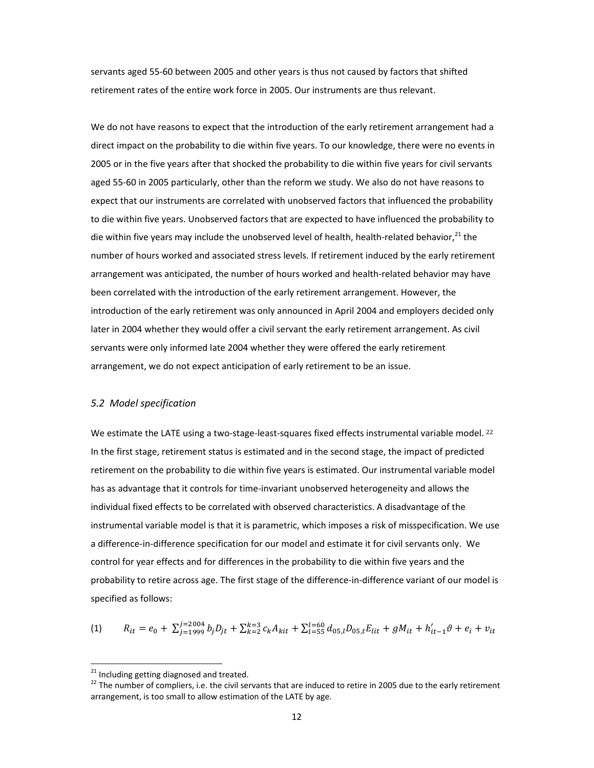servants aged 55‐60 between 2005 and other years is thus not caused by factors that shifted retirement rates of the entire work force in 2005. Our instruments are thus relevant.

We do not have reasons to expect that the introduction of the early retirement arrangement had a direct impact on the probability to die within five years. To our knowledge, there were no events in 2005 or in the five years after that shocked the probability to die within five years for civil servants aged 55‐60 in 2005 particularly, other than the reform we study. We also do not have reasons to expect that our instruments are correlated with unobserved factors that influenced the probability to die within five years. Unobserved factors that are expected to have influenced the probability to die within five years may include the unobserved level of health, health-related behavior.<sup>21</sup> the number of hours worked and associated stress levels. If retirement induced by the early retirement arrangement was anticipated, the number of hours worked and health‐related behavior may have been correlated with the introduction of the early retirement arrangement. However, the introduction of the early retirement was only announced in April 2004 and employers decided only later in 2004 whether they would offer a civil servant the early retirement arrangement. As civil servants were only informed late 2004 whether they were offered the early retirement arrangement, we do not expect anticipation of early retirement to be an issue.

#### *5.2 Model specification*

We estimate the LATE using a two-stage-least-squares fixed effects instrumental variable model. <sup>22</sup> In the first stage, retirement status is estimated and in the second stage, the impact of predicted retirement on the probability to die within five years is estimated. Our instrumental variable model has as advantage that it controls for time‐invariant unobserved heterogeneity and allows the individual fixed effects to be correlated with observed characteristics. A disadvantage of the instrumental variable model is that it is parametric, which imposes a risk of misspecification. We use a difference-in-difference specification for our model and estimate it for civil servants only. We control for year effects and for differences in the probability to die within five years and the probability to retire across age. The first stage of the difference-in-difference variant of our model is specified as follows:

$$
(1) \qquad R_{it} = e_0 + \sum_{j=1999}^{j=2004} b_j D_{jt} + \sum_{k=2}^{k=3} c_k A_{kit} + \sum_{l=55}^{l=60} d_{05,l} D_{05,t} E_{lit} + g M_{it} + h'_{it-1} \vartheta + e_i + v_{it}
$$

 $^{21}$  Including getting diagnosed and treated.

 $^{22}$  The number of compliers, i.e. the civil servants that are induced to retire in 2005 due to the early retirement arrangement, is too small to allow estimation of the LATE by age.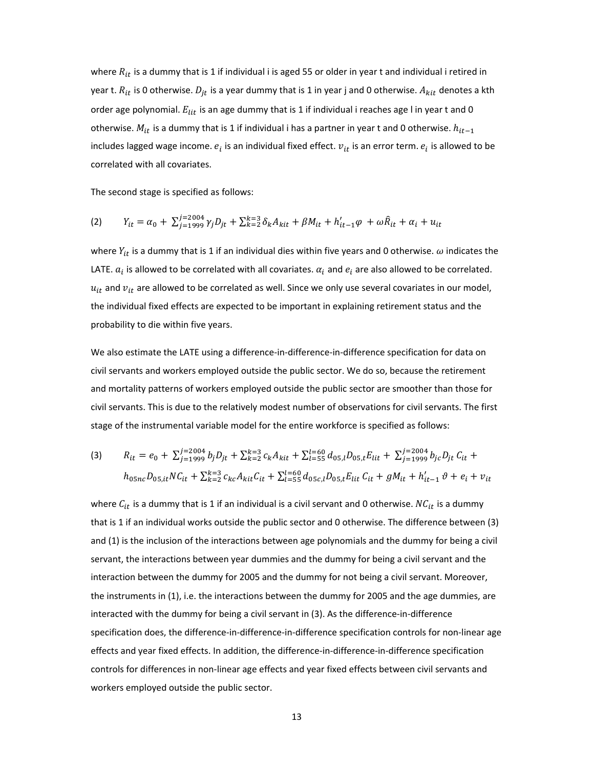where  $R_{it}$  is a dummy that is 1 if individual i is aged 55 or older in year t and individual i retired in year t.  $R_{it}$  is 0 otherwise.  $D_{jt}$  is a year dummy that is 1 in year j and 0 otherwise.  $A_{kit}$  denotes a kth order age polynomial.  $E_{lit}$  is an age dummy that is 1 if individual i reaches age l in year t and 0 otherwise.  $M_{it}$  is a dummy that is 1 if individual i has a partner in year t and 0 otherwise.  $h_{it-1}$ includes lagged wage income.  $e_i$  is an individual fixed effect.  $v_{it}$  is an error term.  $e_i$  is allowed to be correlated with all covariates.

The second stage is specified as follows:

(2) 
$$
Y_{it} = \alpha_0 + \sum_{j=1999}^{j=2004} \gamma_j D_{jt} + \sum_{k=2}^{k=3} \delta_k A_{kit} + \beta M_{it} + h'_{it-1} \varphi + \omega \hat{R}_{it} + \alpha_i + u_{it}
$$

where  $Y_{it}$  is a dummy that is 1 if an individual dies within five years and 0 otherwise.  $\omega$  indicates the LATE.  $a_i$  is allowed to be correlated with all covariates.  $a_i$  and  $e_i$  are also allowed to be correlated.  $u_{it}$  and  $v_{it}$  are allowed to be correlated as well. Since we only use several covariates in our model, the individual fixed effects are expected to be important in explaining retirement status and the probability to die within five years.

We also estimate the LATE using a difference‐in‐difference‐in‐difference specification for data on civil servants and workers employed outside the public sector. We do so, because the retirement and mortality patterns of workers employed outside the public sector are smoother than those for civil servants. This is due to the relatively modest number of observations for civil servants. The first stage of the instrumental variable model for the entire workforce is specified as follows:

(3) 
$$
R_{it} = e_0 + \sum_{j=1999}^{j=2004} b_j D_{jt} + \sum_{k=2}^{k=3} c_k A_{kit} + \sum_{l=55}^{l=60} d_{05,l} D_{05,t} E_{lit} + \sum_{j=1999}^{j=2004} b_{jc} D_{jt} C_{it} + h_{05nc} D_{05,it} N C_{it} + \sum_{k=2}^{k=3} c_{kc} A_{kit} C_{it} + \sum_{l=55}^{l=60} d_{05c,l} D_{05,t} E_{lit} C_{it} + g M_{it} + h'_{it-1} \vartheta + e_i + v_{it}
$$

where  $C_{it}$  is a dummy that is 1 if an individual is a civil servant and 0 otherwise.  $NC_{it}$  is a dummy that is 1 if an individual works outside the public sector and 0 otherwise. The difference between (3) and (1) is the inclusion of the interactions between age polynomials and the dummy for being a civil servant, the interactions between year dummies and the dummy for being a civil servant and the interaction between the dummy for 2005 and the dummy for not being a civil servant. Moreover, the instruments in (1), i.e. the interactions between the dummy for 2005 and the age dummies, are interacted with the dummy for being a civil servant in (3). As the difference‐in‐difference specification does, the difference‐in‐difference‐in‐difference specification controls for non‐linear age effects and year fixed effects. In addition, the difference‐in‐difference‐in‐difference specification controls for differences in non‐linear age effects and year fixed effects between civil servants and workers employed outside the public sector.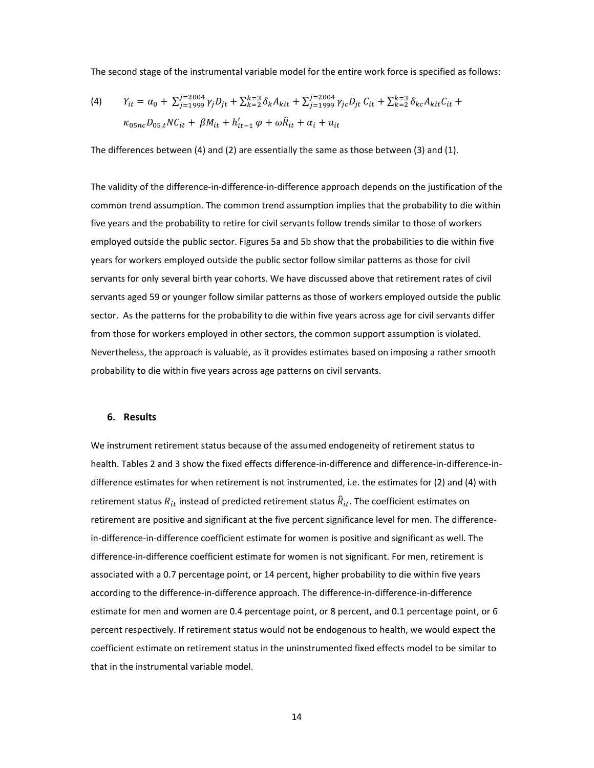The second stage of the instrumental variable model for the entire work force is specified as follows:

(4) 
$$
Y_{it} = \alpha_0 + \sum_{j=1999}^{j=2004} \gamma_j D_{jt} + \sum_{k=2}^{k=3} \delta_k A_{kit} + \sum_{j=1999}^{j=2004} \gamma_{jc} D_{jt} C_{it} + \sum_{k=2}^{k=3} \delta_{kc} A_{kit} C_{it} + \kappa_{05nc} D_{05,t} N C_{it} + \beta M_{it} + h'_{it-1} \varphi + \omega \hat{R}_{it} + \alpha_i + u_{it}
$$

The differences between (4) and (2) are essentially the same as those between (3) and (1).

The validity of the difference‐in‐difference‐in‐difference approach depends on the justification of the common trend assumption. The common trend assumption implies that the probability to die within five years and the probability to retire for civil servants follow trends similar to those of workers employed outside the public sector. Figures 5a and 5b show that the probabilities to die within five years for workers employed outside the public sector follow similar patterns as those for civil servants for only several birth year cohorts. We have discussed above that retirement rates of civil servants aged 59 or younger follow similar patterns as those of workers employed outside the public sector. As the patterns for the probability to die within five years across age for civil servants differ from those for workers employed in other sectors, the common support assumption is violated. Nevertheless, the approach is valuable, as it provides estimates based on imposing a rather smooth probability to die within five years across age patterns on civil servants.

#### **6. Results**

We instrument retirement status because of the assumed endogeneity of retirement status to health. Tables 2 and 3 show the fixed effects difference-in-difference and difference-in-difference-indifference estimates for when retirement is not instrumented, i.e. the estimates for (2) and (4) with retirement status  $R_{it}$  instead of predicted retirement status  $\hat{R}_{it}$ . The coefficient estimates on retirement are positive and significant at the five percent significance level for men. The difference‐ in-difference-in-difference coefficient estimate for women is positive and significant as well. The difference‐in‐difference coefficient estimate for women is not significant. For men, retirement is associated with a 0.7 percentage point, or 14 percent, higher probability to die within five years according to the difference‐in‐difference approach. The difference‐in‐difference‐in‐difference estimate for men and women are 0.4 percentage point, or 8 percent, and 0.1 percentage point, or 6 percent respectively. If retirement status would not be endogenous to health, we would expect the coefficient estimate on retirement status in the uninstrumented fixed effects model to be similar to that in the instrumental variable model.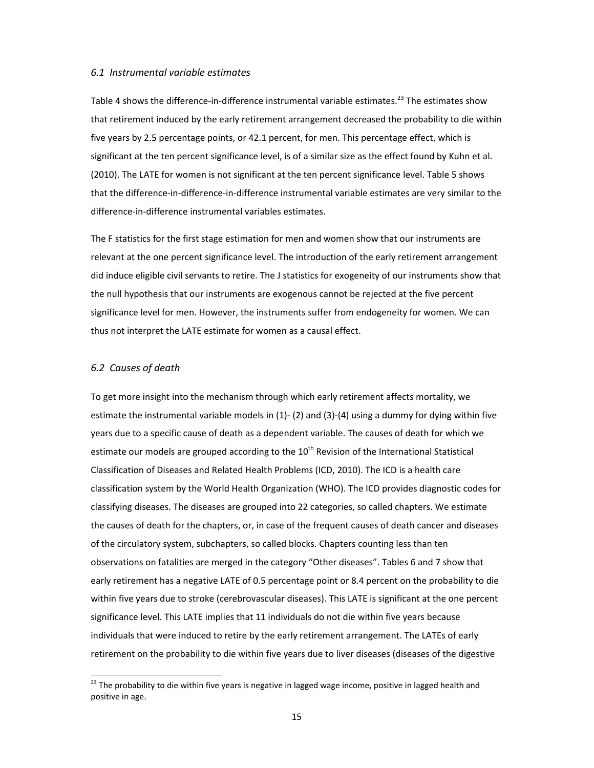#### *6.1 Instrumental variable estimates*

Table 4 shows the difference-in-difference instrumental variable estimates.<sup>23</sup> The estimates show that retirement induced by the early retirement arrangement decreased the probability to die within five years by 2.5 percentage points, or 42.1 percent, for men. This percentage effect, which is significant at the ten percent significance level, is of a similar size as the effect found by Kuhn et al. (2010). The LATE for women is not significant at the ten percent significance level. Table 5 shows that the difference‐in‐difference‐in‐difference instrumental variable estimates are very similar to the difference‐in‐difference instrumental variables estimates.

The F statistics for the first stage estimation for men and women show that our instruments are relevant at the one percent significance level. The introduction of the early retirement arrangement did induce eligible civil servants to retire. The J statistics for exogeneity of our instruments show that the null hypothesis that our instruments are exogenous cannot be rejected at the five percent significance level for men. However, the instruments suffer from endogeneity for women. We can thus not interpret the LATE estimate for women as a causal effect.

#### *6.2 Causes of death*

To get more insight into the mechanism through which early retirement affects mortality, we estimate the instrumental variable models in (1)‐ (2) and (3)‐(4) using a dummy for dying within five years due to a specific cause of death as a dependent variable. The causes of death for which we estimate our models are grouped according to the  $10<sup>th</sup>$  Revision of the International Statistical Classification of Diseases and Related Health Problems (ICD, 2010). The ICD is a health care classification system by the World Health Organization (WHO). The ICD provides diagnostic codes for classifying diseases. The diseases are grouped into 22 categories, so called chapters. We estimate the causes of death for the chapters, or, in case of the frequent causes of death cancer and diseases of the circulatory system, subchapters, so called blocks. Chapters counting less than ten observations on fatalities are merged in the category "Other diseases". Tables 6 and 7 show that early retirement has a negative LATE of 0.5 percentage point or 8.4 percent on the probability to die within five years due to stroke (cerebrovascular diseases). This LATE is significant at the one percent significance level. This LATE implies that 11 individuals do not die within five years because individuals that were induced to retire by the early retirement arrangement. The LATEs of early retirement on the probability to die within five years due to liver diseases (diseases of the digestive

<sup>&</sup>lt;sup>23</sup> The probability to die within five years is negative in lagged wage income, positive in lagged health and positive in age.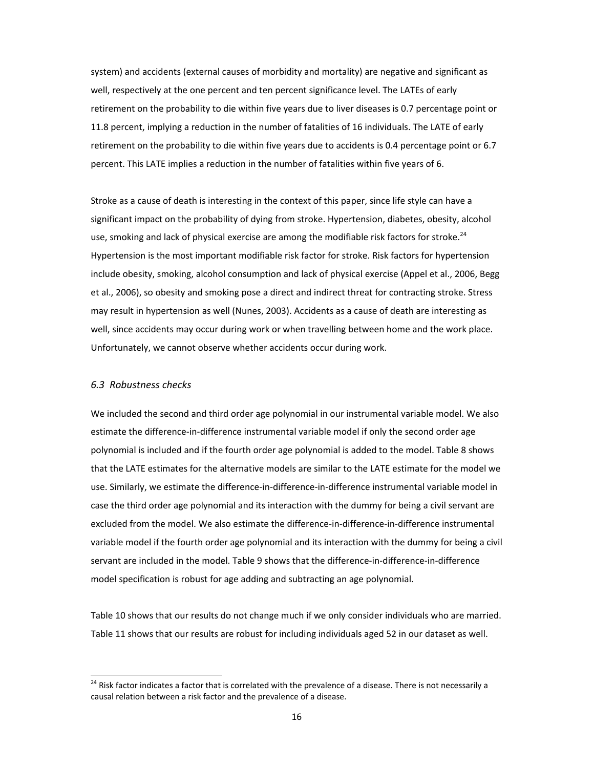system) and accidents (external causes of morbidity and mortality) are negative and significant as well, respectively at the one percent and ten percent significance level. The LATEs of early retirement on the probability to die within five years due to liver diseases is 0.7 percentage point or 11.8 percent, implying a reduction in the number of fatalities of 16 individuals. The LATE of early retirement on the probability to die within five years due to accidents is 0.4 percentage point or 6.7 percent. This LATE implies a reduction in the number of fatalities within five years of 6.

Stroke as a cause of death is interesting in the context of this paper, since life style can have a significant impact on the probability of dying from stroke. Hypertension, diabetes, obesity, alcohol use, smoking and lack of physical exercise are among the modifiable risk factors for stroke.<sup>24</sup> Hypertension is the most important modifiable risk factor for stroke. Risk factors for hypertension include obesity, smoking, alcohol consumption and lack of physical exercise (Appel et al., 2006, Begg et al., 2006), so obesity and smoking pose a direct and indirect threat for contracting stroke. Stress may result in hypertension as well (Nunes, 2003). Accidents as a cause of death are interesting as well, since accidents may occur during work or when travelling between home and the work place. Unfortunately, we cannot observe whether accidents occur during work.

#### *6.3 Robustness checks*

We included the second and third order age polynomial in our instrumental variable model. We also estimate the difference‐in‐difference instrumental variable model if only the second order age polynomial is included and if the fourth order age polynomial is added to the model. Table 8 shows that the LATE estimates for the alternative models are similar to the LATE estimate for the model we use. Similarly, we estimate the difference‐in‐difference‐in‐difference instrumental variable model in case the third order age polynomial and its interaction with the dummy for being a civil servant are excluded from the model. We also estimate the difference‐in‐difference‐in‐difference instrumental variable model if the fourth order age polynomial and its interaction with the dummy for being a civil servant are included in the model. Table 9 shows that the difference‐in‐difference‐in‐difference model specification is robust for age adding and subtracting an age polynomial.

Table 10 shows that our results do not change much if we only consider individuals who are married. Table 11 shows that our results are robust for including individuals aged 52 in our dataset as well.

<sup>&</sup>lt;sup>24</sup> Risk factor indicates a factor that is correlated with the prevalence of a disease. There is not necessarily a causal relation between a risk factor and the prevalence of a disease.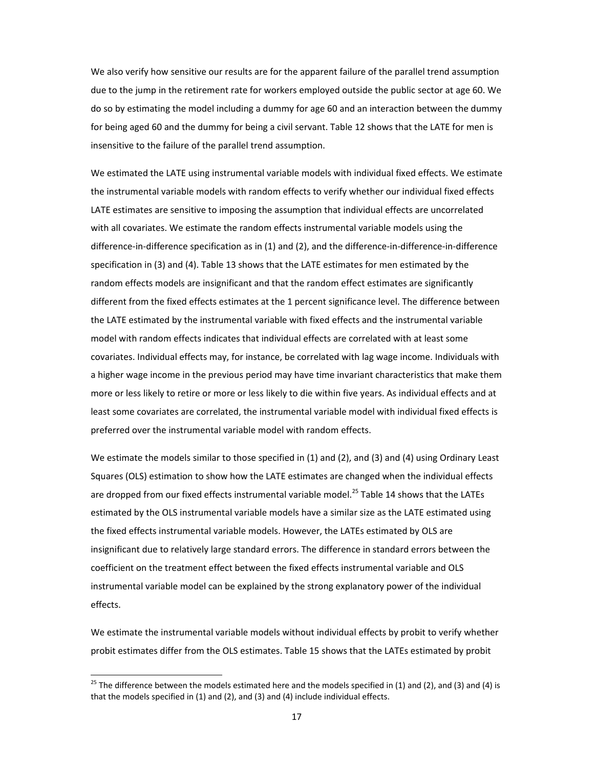We also verify how sensitive our results are for the apparent failure of the parallel trend assumption due to the jump in the retirement rate for workers employed outside the public sector at age 60. We do so by estimating the model including a dummy for age 60 and an interaction between the dummy for being aged 60 and the dummy for being a civil servant. Table 12 shows that the LATE for men is insensitive to the failure of the parallel trend assumption.

We estimated the LATE using instrumental variable models with individual fixed effects. We estimate the instrumental variable models with random effects to verify whether our individual fixed effects LATE estimates are sensitive to imposing the assumption that individual effects are uncorrelated with all covariates. We estimate the random effects instrumental variable models using the difference‐in‐difference specification as in (1) and (2), and the difference‐in‐difference‐in‐difference specification in (3) and (4). Table 13 shows that the LATE estimates for men estimated by the random effects models are insignificant and that the random effect estimates are significantly different from the fixed effects estimates at the 1 percent significance level. The difference between the LATE estimated by the instrumental variable with fixed effects and the instrumental variable model with random effects indicates that individual effects are correlated with at least some covariates. Individual effects may, for instance, be correlated with lag wage income. Individuals with a higher wage income in the previous period may have time invariant characteristics that make them more or less likely to retire or more or less likely to die within five years. As individual effects and at least some covariates are correlated, the instrumental variable model with individual fixed effects is preferred over the instrumental variable model with random effects.

We estimate the models similar to those specified in (1) and (2), and (3) and (4) using Ordinary Least Squares (OLS) estimation to show how the LATE estimates are changed when the individual effects are dropped from our fixed effects instrumental variable model.<sup>25</sup> Table 14 shows that the LATEs estimated by the OLS instrumental variable models have a similar size as the LATE estimated using the fixed effects instrumental variable models. However, the LATEs estimated by OLS are insignificant due to relatively large standard errors. The difference in standard errors between the coefficient on the treatment effect between the fixed effects instrumental variable and OLS instrumental variable model can be explained by the strong explanatory power of the individual effects.

We estimate the instrumental variable models without individual effects by probit to verify whether probit estimates differ from the OLS estimates. Table 15 shows that the LATEs estimated by probit

<sup>&</sup>lt;sup>25</sup> The difference between the models estimated here and the models specified in (1) and (2), and (3) and (4) is that the models specified in (1) and (2), and (3) and (4) include individual effects.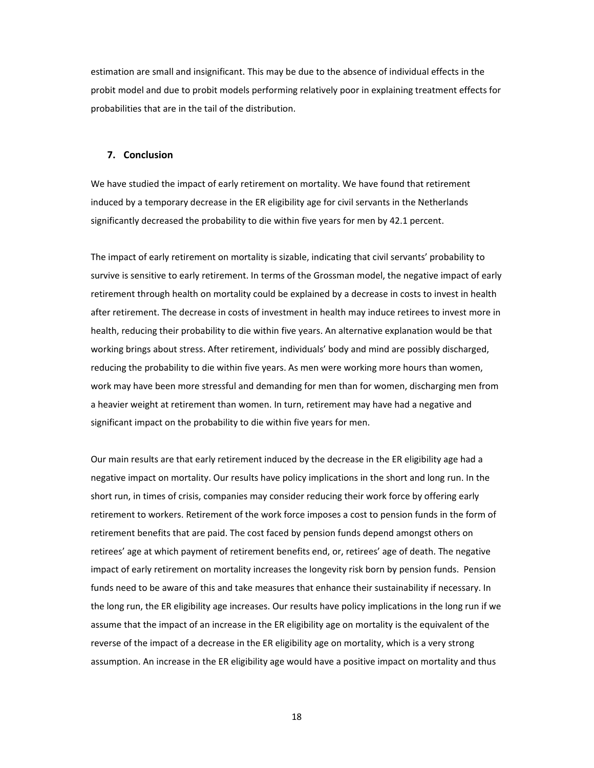estimation are small and insignificant. This may be due to the absence of individual effects in the probit model and due to probit models performing relatively poor in explaining treatment effects for probabilities that are in the tail of the distribution.

#### **7. Conclusion**

We have studied the impact of early retirement on mortality. We have found that retirement induced by a temporary decrease in the ER eligibility age for civil servants in the Netherlands significantly decreased the probability to die within five years for men by 42.1 percent.

The impact of early retirement on mortality is sizable, indicating that civil servants' probability to survive is sensitive to early retirement. In terms of the Grossman model, the negative impact of early retirement through health on mortality could be explained by a decrease in costs to invest in health after retirement. The decrease in costs of investment in health may induce retirees to invest more in health, reducing their probability to die within five years. An alternative explanation would be that working brings about stress. After retirement, individuals' body and mind are possibly discharged, reducing the probability to die within five years. As men were working more hours than women, work may have been more stressful and demanding for men than for women, discharging men from a heavier weight at retirement than women. In turn, retirement may have had a negative and significant impact on the probability to die within five years for men.

Our main results are that early retirement induced by the decrease in the ER eligibility age had a negative impact on mortality. Our results have policy implications in the short and long run. In the short run, in times of crisis, companies may consider reducing their work force by offering early retirement to workers. Retirement of the work force imposes a cost to pension funds in the form of retirement benefits that are paid. The cost faced by pension funds depend amongst others on retirees' age at which payment of retirement benefits end, or, retirees' age of death. The negative impact of early retirement on mortality increases the longevity risk born by pension funds. Pension funds need to be aware of this and take measures that enhance their sustainability if necessary. In the long run, the ER eligibility age increases. Our results have policy implications in the long run if we assume that the impact of an increase in the ER eligibility age on mortality is the equivalent of the reverse of the impact of a decrease in the ER eligibility age on mortality, which is a very strong assumption. An increase in the ER eligibility age would have a positive impact on mortality and thus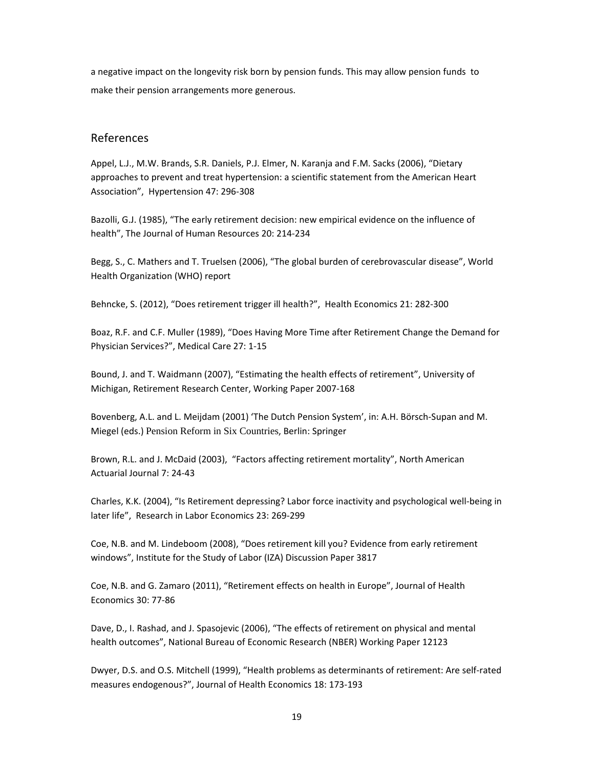a negative impact on the longevity risk born by pension funds. This may allow pension funds to make their pension arrangements more generous.

### References

Appel, L.J., M.W. Brands, S.R. Daniels, P.J. Elmer, N. Karanja and F.M. Sacks (2006), "Dietary approaches to prevent and treat hypertension: a scientific statement from the American Heart Association", Hypertension 47: 296‐308

Bazolli, G.J. (1985), "The early retirement decision: new empirical evidence on the influence of health", The Journal of Human Resources 20: 214‐234

Begg, S., C. Mathers and T. Truelsen (2006), "The global burden of cerebrovascular disease", World Health Organization (WHO) report

Behncke, S. (2012), "Does retirement trigger ill health?", Health Economics 21: 282-300

Boaz, R.F. and C.F. Muller (1989), "Does Having More Time after Retirement Change the Demand for Physician Services?", Medical Care 27: 1‐15

Bound, J. and T. Waidmann (2007), "Estimating the health effects of retirement", University of Michigan, Retirement Research Center, Working Paper 2007‐168

Bovenberg, A.L. and L. Meijdam (2001) 'The Dutch Pension System', in: A.H. Börsch‐Supan and M. Miegel (eds.) Pension Reform in Six Countries, Berlin: Springer

Brown, R.L. and J. McDaid (2003), "Factors affecting retirement mortality", North American Actuarial Journal 7: 24‐43

Charles, K.K. (2004), "Is Retirement depressing? Labor force inactivity and psychological well‐being in later life", Research in Labor Economics 23: 269‐299

Coe, N.B. and M. Lindeboom (2008), "Does retirement kill you? Evidence from early retirement windows", Institute for the Study of Labor (IZA) Discussion Paper 3817

Coe, N.B. and G. Zamaro (2011), "Retirement effects on health in Europe", Journal of Health Economics 30: 77‐86

Dave, D., I. Rashad, and J. Spasojevic (2006), "The effects of retirement on physical and mental health outcomes", National Bureau of Economic Research (NBER) Working Paper 12123

Dwyer, D.S. and O.S. Mitchell (1999), "Health problems as determinants of retirement: Are self‐rated measures endogenous?", Journal of Health Economics 18: 173‐193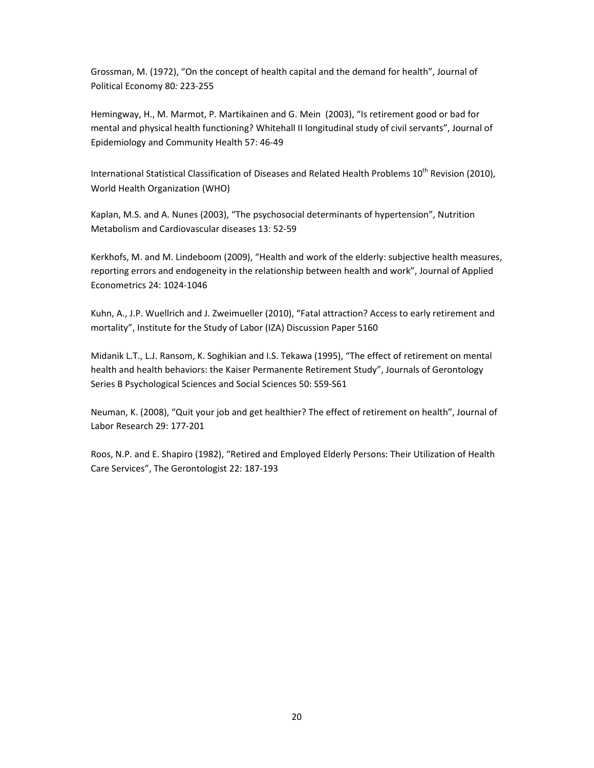Grossman, M. (1972), "On the concept of health capital and the demand for health", Journal of Political Economy 80*:* 223‐255

Hemingway, H., M. Marmot, P. Martikainen and G. Mein (2003), "Is retirement good or bad for mental and physical health functioning? Whitehall II longitudinal study of civil servants", Journal of Epidemiology and Community Health 57: 46‐49

International Statistical Classification of Diseases and Related Health Problems 10<sup>th</sup> Revision (2010), World Health Organization (WHO)

Kaplan, M.S. and A. Nunes (2003), "The psychosocial determinants of hypertension", Nutrition Metabolism and Cardiovascular diseases 13: 52‐59

Kerkhofs, M. and M. Lindeboom (2009), "Health and work of the elderly: subjective health measures, reporting errors and endogeneity in the relationship between health and work", Journal of Applied Econometrics 24: 1024‐1046

Kuhn, A., J.P. Wuellrich and J. Zweimueller (2010), "Fatal attraction? Access to early retirement and mortality", Institute for the Study of Labor (IZA) Discussion Paper 5160

Midanik L.T., L.J. Ransom, K. Soghikian and I.S. Tekawa (1995), "The effect of retirement on mental health and health behaviors: the Kaiser Permanente Retirement Study", Journals of Gerontology Series B Psychological Sciences and Social Sciences 50: S59‐S61

Neuman, K. (2008), "Quit your job and get healthier? The effect of retirement on health", Journal of Labor Research 29: 177‐201

Roos, N.P. and E. Shapiro (1982), "Retired and Employed Elderly Persons: Their Utilization of Health Care Services", The Gerontologist 22: 187‐193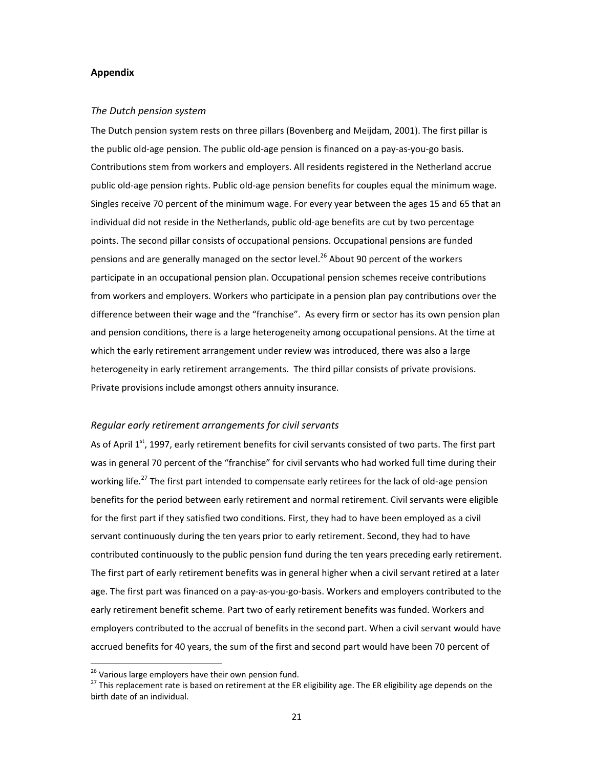#### **Appendix**

#### *The Dutch pension system*

The Dutch pension system rests on three pillars (Bovenberg and Meijdam, 2001). The first pillar is the public old‐age pension. The public old‐age pension is financed on a pay‐as‐you‐go basis. Contributions stem from workers and employers. All residents registered in the Netherland accrue public old-age pension rights. Public old-age pension benefits for couples equal the minimum wage. Singles receive 70 percent of the minimum wage. For every year between the ages 15 and 65 that an individual did not reside in the Netherlands, public old‐age benefits are cut by two percentage points. The second pillar consists of occupational pensions. Occupational pensions are funded pensions and are generally managed on the sector level.<sup>26</sup> About 90 percent of the workers participate in an occupational pension plan. Occupational pension schemes receive contributions from workers and employers. Workers who participate in a pension plan pay contributions over the difference between their wage and the "franchise". As every firm or sector has its own pension plan and pension conditions, there is a large heterogeneity among occupational pensions. At the time at which the early retirement arrangement under review was introduced, there was also a large heterogeneity in early retirement arrangements. The third pillar consists of private provisions. Private provisions include amongst others annuity insurance.

#### *Regular early retirement arrangements for civil servants*

As of April 1<sup>st</sup>, 1997, early retirement benefits for civil servants consisted of two parts. The first part was in general 70 percent of the "franchise" for civil servants who had worked full time during their working life.<sup>27</sup> The first part intended to compensate early retirees for the lack of old-age pension benefits for the period between early retirement and normal retirement. Civil servants were eligible for the first part if they satisfied two conditions. First, they had to have been employed as a civil servant continuously during the ten years prior to early retirement. Second, they had to have contributed continuously to the public pension fund during the ten years preceding early retirement. The first part of early retirement benefits was in general higher when a civil servant retired at a later age. The first part was financed on a pay‐as‐you‐go‐basis. Workers and employers contributed to the early retirement benefit scheme. Part two of early retirement benefits was funded. Workers and employers contributed to the accrual of benefits in the second part. When a civil servant would have accrued benefits for 40 years, the sum of the first and second part would have been 70 percent of

<sup>&</sup>lt;sup>26</sup> Various large employers have their own pension fund.

<sup>&</sup>lt;sup>27</sup> This replacement rate is based on retirement at the ER eligibility age. The ER eligibility age depends on the birth date of an individual.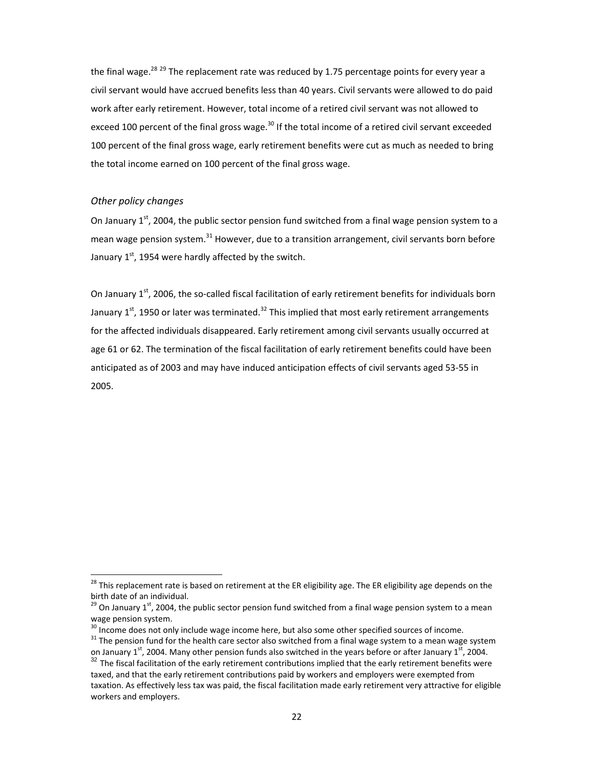the final wage.<sup>28 29</sup> The replacement rate was reduced by 1.75 percentage points for every year a civil servant would have accrued benefits less than 40 years. Civil servants were allowed to do paid work after early retirement. However, total income of a retired civil servant was not allowed to exceed 100 percent of the final gross wage.<sup>30</sup> If the total income of a retired civil servant exceeded 100 percent of the final gross wage, early retirement benefits were cut as much as needed to bring the total income earned on 100 percent of the final gross wage.

#### *Other policy changes*

On January  $1^{st}$ , 2004, the public sector pension fund switched from a final wage pension system to a mean wage pension system.<sup>31</sup> However, due to a transition arrangement, civil servants born before January  $1<sup>st</sup>$ , 1954 were hardly affected by the switch.

On January 1<sup>st</sup>, 2006, the so-called fiscal facilitation of early retirement benefits for individuals born January  $1<sup>st</sup>$ , 1950 or later was terminated.<sup>32</sup> This implied that most early retirement arrangements for the affected individuals disappeared. Early retirement among civil servants usually occurred at age 61 or 62. The termination of the fiscal facilitation of early retirement benefits could have been anticipated as of 2003 and may have induced anticipation effects of civil servants aged 53‐55 in 2005.

 $^{28}$  This replacement rate is based on retirement at the ER eligibility age. The ER eligibility age depends on the

birth date of an individual.<br><sup>29</sup> On January 1<sup>st</sup>, 2004, the public sector pension fund switched from a final wage pension system to a mean wage pension system.<br> $30$  Income does not only include wage income here, but also some other specified sources of income.<br> $31$  The pension fund for the health care sector also switched from a final wage system to a mean w

on January 1st, 2004. Many other pension funds also switched in the years before or after January 1st

 $32$  The fiscal facilitation of the early retirement contributions implied that the early retirement benefits were taxed, and that the early retirement contributions paid by workers and employers were exempted from taxation. As effectively less tax was paid, the fiscal facilitation made early retirement very attractive for eligible workers and employers.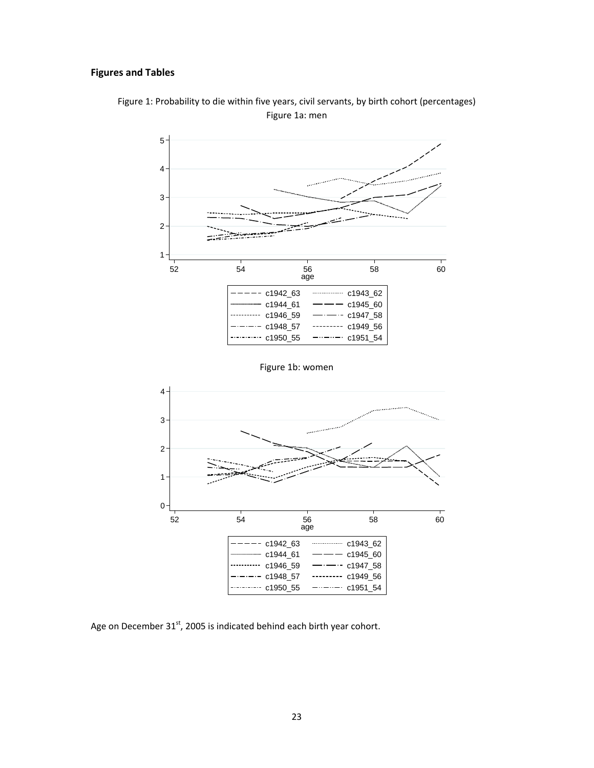## **Figures and Tables**



Figure 1: Probability to die within five years, civil servants, by birth cohort (percentages) Figure 1a: men

Figure 1b: women



Age on December  $31<sup>st</sup>$ , 2005 is indicated behind each birth year cohort.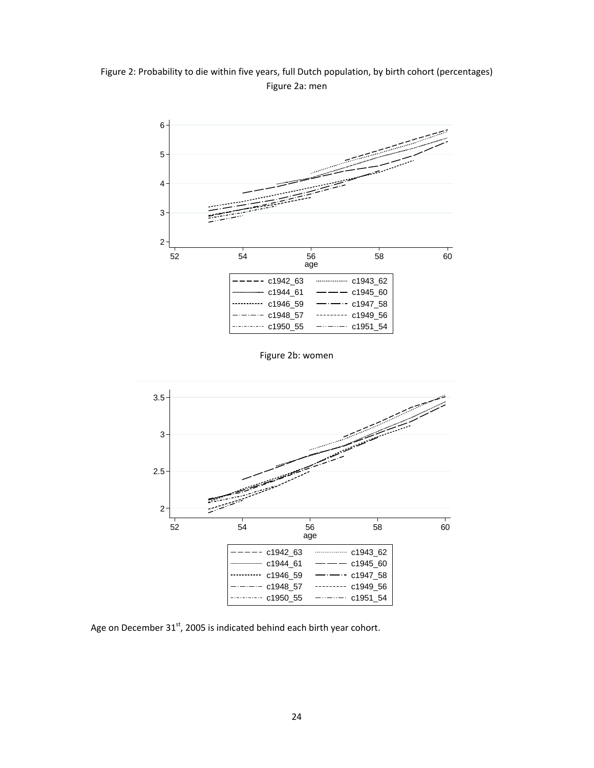Figure 2: Probability to die within five years, full Dutch population, by birth cohort (percentages) Figure 2a: men



Figure 2b: women



Age on December  $31<sup>st</sup>$ , 2005 is indicated behind each birth year cohort.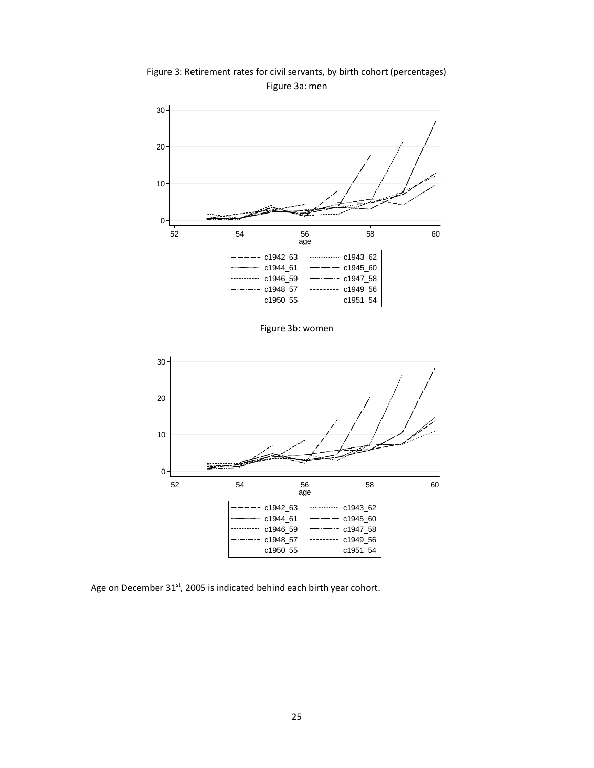Figure 3: Retirement rates for civil servants, by birth cohort (percentages) Figure 3a: men



Figure 3b: women



Age on December 31<sup>st</sup>, 2005 is indicated behind each birth year cohort.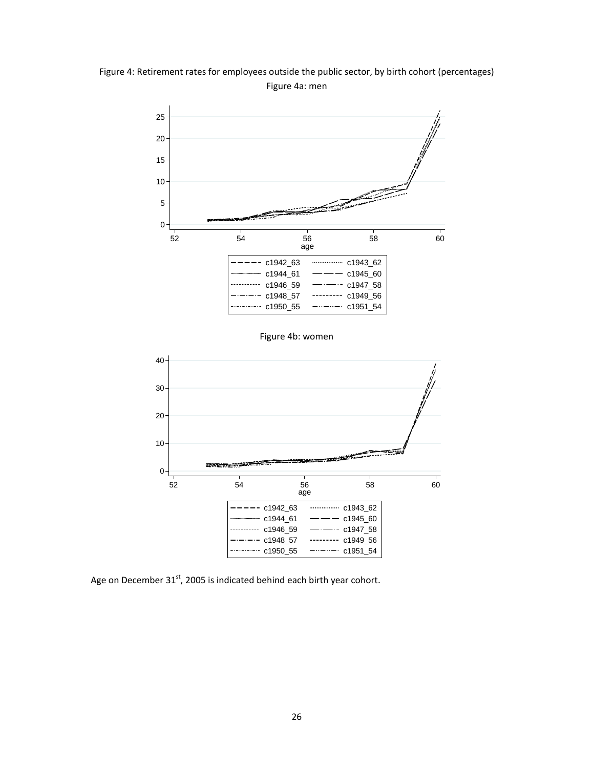Figure 4: Retirement rates for employees outside the public sector, by birth cohort (percentages) Figure 4a: men



Figure 4b: women



Age on December  $31<sup>st</sup>$ , 2005 is indicated behind each birth year cohort.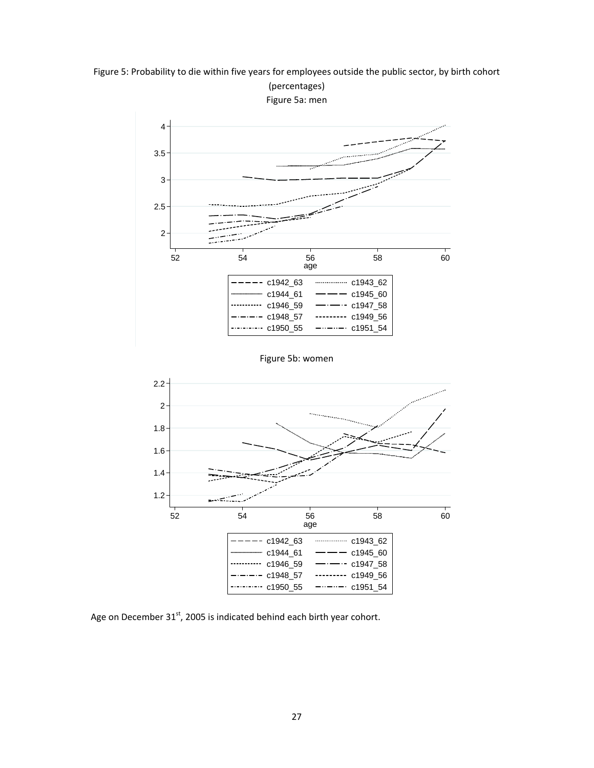Figure 5: Probability to die within five years for employees outside the public sector, by birth cohort





Age on December  $31<sup>st</sup>$ , 2005 is indicated behind each birth year cohort.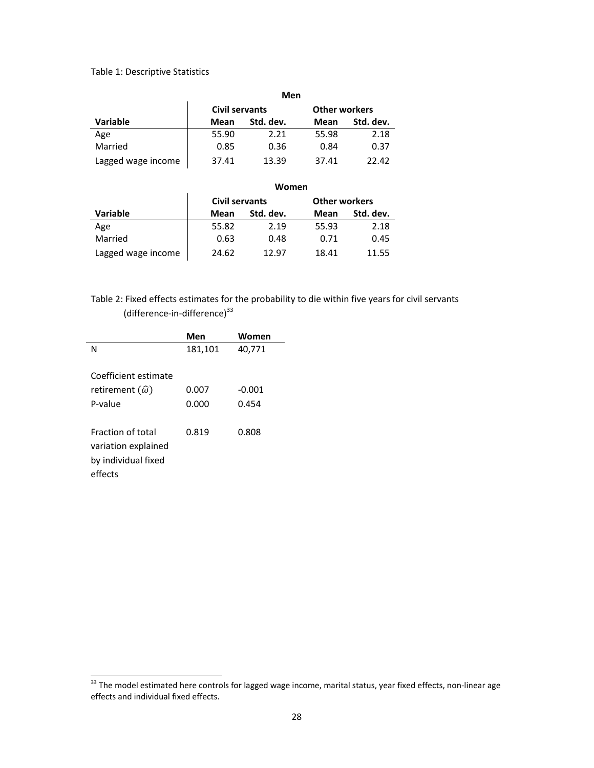#### Table 1: Descriptive Statistics

|                    | Men   |                       |       |                      |
|--------------------|-------|-----------------------|-------|----------------------|
|                    |       | <b>Civil servants</b> |       | <b>Other workers</b> |
| <b>Variable</b>    | Mean  | Std. dev.             | Mean  | Std. dev.            |
| Age                | 55.90 | 2.21                  | 55.98 | 2.18                 |
| Married            | 0.85  | 0.36                  | 0.84  | 0.37                 |
| Lagged wage income | 37.41 | 13.39                 | 37.41 | 22.42                |

## **Women Civil servants Other workers**

| Variable           | Mean  | Std. dev. | Mean  | Std. dev. |
|--------------------|-------|-----------|-------|-----------|
| Age                | 55.82 | 2.19      | 55.93 | 2.18      |
| Married            | 0.63  | 0.48      | 0.71  | 0.45      |
| Lagged wage income | 24.62 | 12.97     | 18.41 | 11.55     |

## Table 2: Fixed effects estimates for the probability to die within five years for civil servants (difference-in-difference)<sup>33</sup>

|                             | Men     | Women    |
|-----------------------------|---------|----------|
| N                           | 181,101 | 40,771   |
|                             |         |          |
| Coefficient estimate        |         |          |
| retirement $(\hat{\omega})$ | 0.007   | $-0.001$ |
| P-value                     | 0.000   | 0.454    |
|                             |         |          |
| <b>Fraction of total</b>    | 0.819   | 0.808    |
| variation explained         |         |          |
| by individual fixed         |         |          |
| effects                     |         |          |
|                             |         |          |

 $33$  The model estimated here controls for lagged wage income, marital status, year fixed effects, non-linear age effects and individual fixed effects.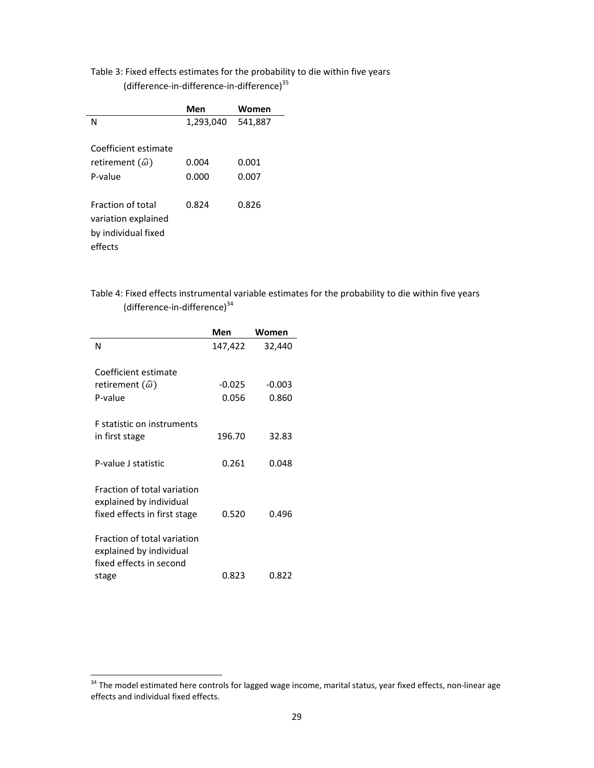## Table 3: Fixed effects estimates for the probability to die within five years

(difference‐in‐difference‐in‐difference)35

|                                                                                   | Men       | Women   |
|-----------------------------------------------------------------------------------|-----------|---------|
| N                                                                                 | 1,293,040 | 541,887 |
| Coefficient estimate                                                              |           |         |
| retirement $(\widehat{\omega})$                                                   | 0.004     | 0.001   |
| P-value                                                                           | 0.000     | 0.007   |
| <b>Fraction of total</b><br>variation explained<br>by individual fixed<br>effects | 0.824     | 0.826   |

Table 4: Fixed effects instrumental variable estimates for the probability to die within five years (difference-in-difference)<sup>34</sup>

|                                                                                            | Men      | Women    |
|--------------------------------------------------------------------------------------------|----------|----------|
| N                                                                                          | 147,422  | 32,440   |
| Coefficient estimate                                                                       |          |          |
| retirement $(\widehat{\omega})$                                                            | $-0.025$ | $-0.003$ |
| P-value                                                                                    | 0.056    | 0.860    |
| <b>F</b> statistic on instruments<br>in first stage                                        | 196.70   | 32.83    |
| P-value Lstatistic                                                                         | 0.261    | 0.048    |
| Fraction of total variation<br>explained by individual<br>fixed effects in first stage     | 0.520    | 0.496    |
| Fraction of total variation<br>explained by individual<br>fixed effects in second<br>stage | 0.823    | 0.822    |

 $34$  The model estimated here controls for lagged wage income, marital status, year fixed effects, non-linear age effects and individual fixed effects.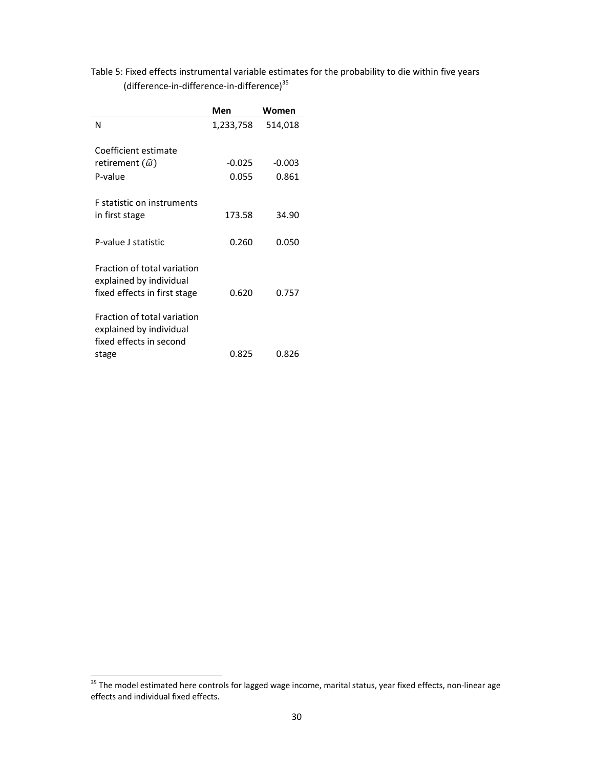## Table 5: Fixed effects instrumental variable estimates for the probability to die within five years (difference‐in‐difference‐in‐difference)<sup>35</sup>

|                                                                                            | Men       | Women    |
|--------------------------------------------------------------------------------------------|-----------|----------|
| Ν                                                                                          | 1,233,758 | 514,018  |
| Coefficient estimate                                                                       |           |          |
| retirement $(\widehat{\omega})$                                                            | $-0.025$  | $-0.003$ |
| P-value                                                                                    | 0.055     | 0.861    |
| <b>F</b> statistic on instruments<br>in first stage                                        | 173.58    | 34.90    |
| P-value J statistic                                                                        | 0.260     | 0.050    |
| Fraction of total variation<br>explained by individual<br>fixed effects in first stage     | 0.620     | 0.757    |
| Fraction of total variation<br>explained by individual<br>fixed effects in second<br>stage | 0.825     | 0.826    |

<sup>&</sup>lt;sup>35</sup> The model estimated here controls for lagged wage income, marital status, year fixed effects, non-linear age effects and individual fixed effects.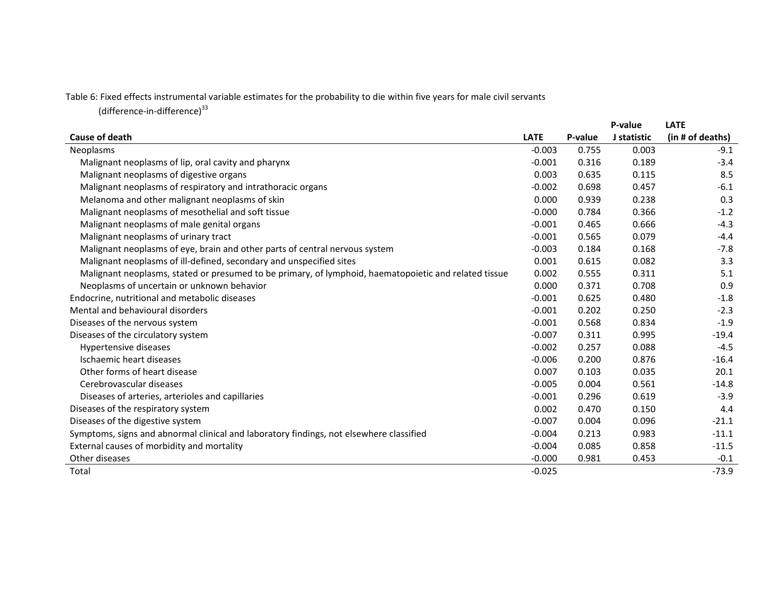Table 6: Fixed effects instrumental variable estimates for the probability to die within five years for male civil servants

(difference-in-difference) $^{33}$ 

|                                                                                                       |             |         | P-value     | <b>LATE</b>      |
|-------------------------------------------------------------------------------------------------------|-------------|---------|-------------|------------------|
| <b>Cause of death</b>                                                                                 | <b>LATE</b> | P-value | J statistic | (in # of deaths) |
| Neoplasms                                                                                             | $-0.003$    | 0.755   | 0.003       | $-9.1$           |
| Malignant neoplasms of lip, oral cavity and pharynx                                                   | $-0.001$    | 0.316   | 0.189       | $-3.4$           |
| Malignant neoplasms of digestive organs                                                               | 0.003       | 0.635   | 0.115       | 8.5              |
| Malignant neoplasms of respiratory and intrathoracic organs                                           | $-0.002$    | 0.698   | 0.457       | $-6.1$           |
| Melanoma and other malignant neoplasms of skin                                                        | 0.000       | 0.939   | 0.238       | 0.3              |
| Malignant neoplasms of mesothelial and soft tissue                                                    | $-0.000$    | 0.784   | 0.366       | $-1.2$           |
| Malignant neoplasms of male genital organs                                                            | $-0.001$    | 0.465   | 0.666       | $-4.3$           |
| Malignant neoplasms of urinary tract                                                                  | $-0.001$    | 0.565   | 0.079       | $-4.4$           |
| Malignant neoplasms of eye, brain and other parts of central nervous system                           | $-0.003$    | 0.184   | 0.168       | $-7.8$           |
| Malignant neoplasms of ill-defined, secondary and unspecified sites                                   | 0.001       | 0.615   | 0.082       | 3.3              |
| Malignant neoplasms, stated or presumed to be primary, of lymphoid, haematopoietic and related tissue | 0.002       | 0.555   | 0.311       | 5.1              |
| Neoplasms of uncertain or unknown behavior                                                            | 0.000       | 0.371   | 0.708       | 0.9              |
| Endocrine, nutritional and metabolic diseases                                                         | $-0.001$    | 0.625   | 0.480       | $-1.8$           |
| Mental and behavioural disorders                                                                      | $-0.001$    | 0.202   | 0.250       | $-2.3$           |
| Diseases of the nervous system                                                                        | $-0.001$    | 0.568   | 0.834       | $-1.9$           |
| Diseases of the circulatory system                                                                    | $-0.007$    | 0.311   | 0.995       | $-19.4$          |
| Hypertensive diseases                                                                                 | $-0.002$    | 0.257   | 0.088       | $-4.5$           |
| Ischaemic heart diseases                                                                              | $-0.006$    | 0.200   | 0.876       | $-16.4$          |
| Other forms of heart disease                                                                          | 0.007       | 0.103   | 0.035       | 20.1             |
| Cerebrovascular diseases                                                                              | $-0.005$    | 0.004   | 0.561       | $-14.8$          |
| Diseases of arteries, arterioles and capillaries                                                      | $-0.001$    | 0.296   | 0.619       | $-3.9$           |
| Diseases of the respiratory system                                                                    | 0.002       | 0.470   | 0.150       | 4.4              |
| Diseases of the digestive system                                                                      | $-0.007$    | 0.004   | 0.096       | $-21.1$          |
| Symptoms, signs and abnormal clinical and laboratory findings, not elsewhere classified               | $-0.004$    | 0.213   | 0.983       | $-11.1$          |
| External causes of morbidity and mortality                                                            | $-0.004$    | 0.085   | 0.858       | $-11.5$          |
| Other diseases                                                                                        | $-0.000$    | 0.981   | 0.453       | $-0.1$           |
| Total                                                                                                 | $-0.025$    |         |             | $-73.9$          |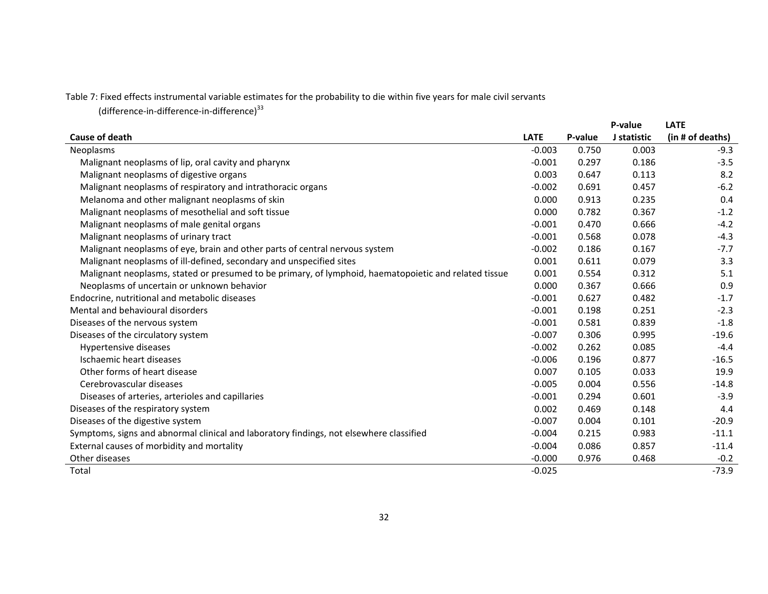Table 7: Fixed effects instrumental variable estimates for the probability to die within five years for male civil servants

(difference‐in‐difference‐in‐difference)<sup>33</sup>

|                                                                                                       |             |         | P-value     | <b>LATE</b>      |
|-------------------------------------------------------------------------------------------------------|-------------|---------|-------------|------------------|
| <b>Cause of death</b>                                                                                 | <b>LATE</b> | P-value | J statistic | (in # of deaths) |
| Neoplasms                                                                                             | $-0.003$    | 0.750   | 0.003       | $-9.3$           |
| Malignant neoplasms of lip, oral cavity and pharynx                                                   | $-0.001$    | 0.297   | 0.186       | $-3.5$           |
| Malignant neoplasms of digestive organs                                                               | 0.003       | 0.647   | 0.113       | 8.2              |
| Malignant neoplasms of respiratory and intrathoracic organs                                           | $-0.002$    | 0.691   | 0.457       | $-6.2$           |
| Melanoma and other malignant neoplasms of skin                                                        | 0.000       | 0.913   | 0.235       | 0.4              |
| Malignant neoplasms of mesothelial and soft tissue                                                    | 0.000       | 0.782   | 0.367       | $-1.2$           |
| Malignant neoplasms of male genital organs                                                            | $-0.001$    | 0.470   | 0.666       | $-4.2$           |
| Malignant neoplasms of urinary tract                                                                  | $-0.001$    | 0.568   | 0.078       | $-4.3$           |
| Malignant neoplasms of eye, brain and other parts of central nervous system                           | $-0.002$    | 0.186   | 0.167       | $-7.7$           |
| Malignant neoplasms of ill-defined, secondary and unspecified sites                                   | 0.001       | 0.611   | 0.079       | 3.3              |
| Malignant neoplasms, stated or presumed to be primary, of lymphoid, haematopoietic and related tissue | 0.001       | 0.554   | 0.312       | 5.1              |
| Neoplasms of uncertain or unknown behavior                                                            | 0.000       | 0.367   | 0.666       | 0.9              |
| Endocrine, nutritional and metabolic diseases                                                         | $-0.001$    | 0.627   | 0.482       | $-1.7$           |
| Mental and behavioural disorders                                                                      | $-0.001$    | 0.198   | 0.251       | $-2.3$           |
| Diseases of the nervous system                                                                        | $-0.001$    | 0.581   | 0.839       | $-1.8$           |
| Diseases of the circulatory system                                                                    | $-0.007$    | 0.306   | 0.995       | $-19.6$          |
| Hypertensive diseases                                                                                 | $-0.002$    | 0.262   | 0.085       | $-4.4$           |
| Ischaemic heart diseases                                                                              | $-0.006$    | 0.196   | 0.877       | $-16.5$          |
| Other forms of heart disease                                                                          | 0.007       | 0.105   | 0.033       | 19.9             |
| Cerebrovascular diseases                                                                              | $-0.005$    | 0.004   | 0.556       | $-14.8$          |
| Diseases of arteries, arterioles and capillaries                                                      | $-0.001$    | 0.294   | 0.601       | $-3.9$           |
| Diseases of the respiratory system                                                                    | 0.002       | 0.469   | 0.148       | 4.4              |
| Diseases of the digestive system                                                                      | $-0.007$    | 0.004   | 0.101       | $-20.9$          |
| Symptoms, signs and abnormal clinical and laboratory findings, not elsewhere classified               | $-0.004$    | 0.215   | 0.983       | $-11.1$          |
| External causes of morbidity and mortality                                                            | $-0.004$    | 0.086   | 0.857       | $-11.4$          |
| Other diseases                                                                                        | $-0.000$    | 0.976   | 0.468       | $-0.2$           |
| Total                                                                                                 | $-0.025$    |         |             | $-73.9$          |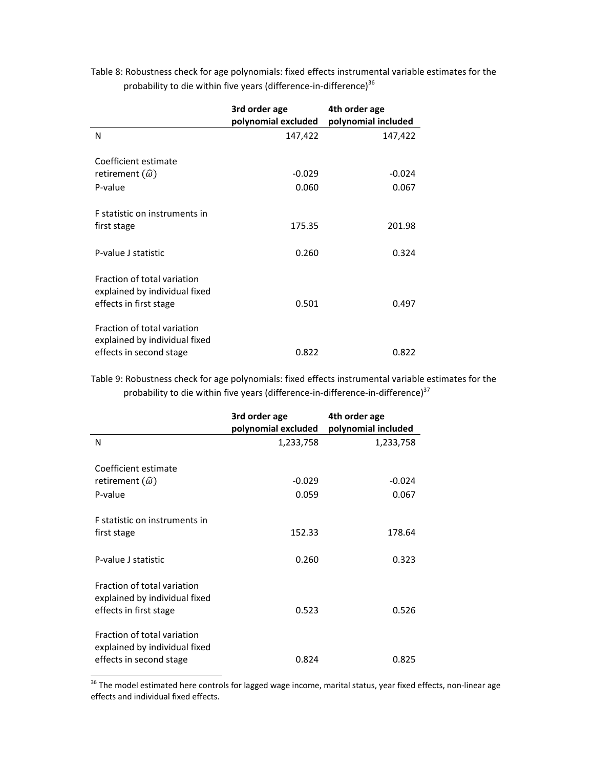Table 8: Robustness check for age polynomials: fixed effects instrumental variable estimates for the probability to die within five years (difference-in-difference)<sup>36</sup>

|                                                                                         | 3rd order age<br>polynomial excluded | 4th order age<br>polynomial included |
|-----------------------------------------------------------------------------------------|--------------------------------------|--------------------------------------|
| N                                                                                       | 147,422                              | 147,422                              |
| Coefficient estimate                                                                    |                                      |                                      |
| retirement $(\widehat{\omega})$                                                         | $-0.029$                             | $-0.024$                             |
| P-value                                                                                 | 0.060                                | 0.067                                |
| F statistic on instruments in<br>first stage                                            | 175.35                               | 201.98                               |
| P-value J statistic                                                                     | 0.260                                | 0.324                                |
| Fraction of total variation<br>explained by individual fixed<br>effects in first stage  | 0.501                                | 0.497                                |
| Fraction of total variation<br>explained by individual fixed<br>effects in second stage | 0.822                                | 0.822                                |

Table 9: Robustness check for age polynomials: fixed effects instrumental variable estimates for the probability to die within five years (difference-in-difference-in-difference)<sup>37</sup>

|                                                                                         | 3rd order age<br>polynomial excluded | 4th order age<br>polynomial included |
|-----------------------------------------------------------------------------------------|--------------------------------------|--------------------------------------|
| N                                                                                       | 1,233,758                            | 1,233,758                            |
| Coefficient estimate                                                                    |                                      |                                      |
| retirement $(\widehat{\omega})$                                                         | $-0.029$                             | $-0.024$                             |
| P-value                                                                                 | 0.059                                | 0.067                                |
| E statistic on instruments in<br>first stage                                            | 152.33                               | 178.64                               |
| P-value J statistic                                                                     | 0.260                                | 0.323                                |
| Fraction of total variation<br>explained by individual fixed<br>effects in first stage  | 0.523                                | 0.526                                |
| Fraction of total variation<br>explained by individual fixed<br>effects in second stage | 0.824                                | 0.825                                |

 $^{36}$  The model estimated here controls for lagged wage income, marital status, year fixed effects, non-linear age effects and individual fixed effects.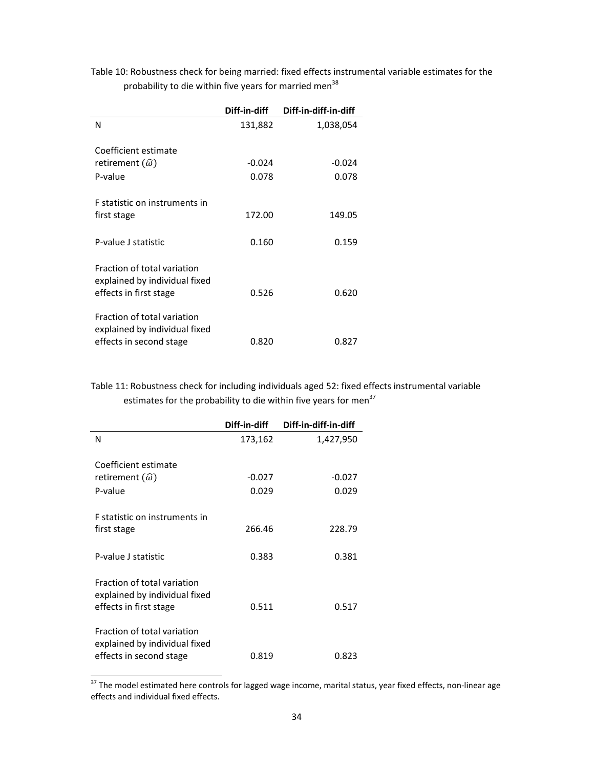Table 10: Robustness check for being married: fixed effects instrumental variable estimates for the probability to die within five years for married men<sup>38</sup>

|                                                                                         | Diff-in-diff      | Diff-in-diff-in-diff |
|-----------------------------------------------------------------------------------------|-------------------|----------------------|
| N                                                                                       | 131,882           | 1,038,054            |
| Coefficient estimate<br>retirement $(\widehat{\omega})$<br>P-value                      | $-0.024$<br>0.078 | $-0.024$<br>0.078    |
| F statistic on instruments in<br>first stage                                            | 172.00            | 149.05               |
| P-value J statistic                                                                     | 0.160             | 0.159                |
| Fraction of total variation<br>explained by individual fixed<br>effects in first stage  | 0.526             | 0.620                |
| Fraction of total variation<br>explained by individual fixed<br>effects in second stage | 0.820             | 0.827                |

Table 11: Robustness check for including individuals aged 52: fixed effects instrumental variable estimates for the probability to die within five years for men<sup>37</sup>

|                                                                                         | Diff-in-diff | Diff-in-diff-in-diff |
|-----------------------------------------------------------------------------------------|--------------|----------------------|
| N                                                                                       | 173,162      | 1,427,950            |
| Coefficient estimate                                                                    |              |                      |
| retirement $(\widehat{\omega})$                                                         | $-0.027$     | $-0.027$             |
| P-value                                                                                 | 0.029        | 0.029                |
| E statistic on instruments in<br>first stage                                            | 266.46       | 228.79               |
| P-value J statistic                                                                     | 0.383        | 0.381                |
| Fraction of total variation<br>explained by individual fixed<br>effects in first stage  | 0.511        | 0.517                |
| Fraction of total variation<br>explained by individual fixed<br>effects in second stage | 0.819        | 0.823                |

 $37$  The model estimated here controls for lagged wage income, marital status, year fixed effects, non-linear age effects and individual fixed effects.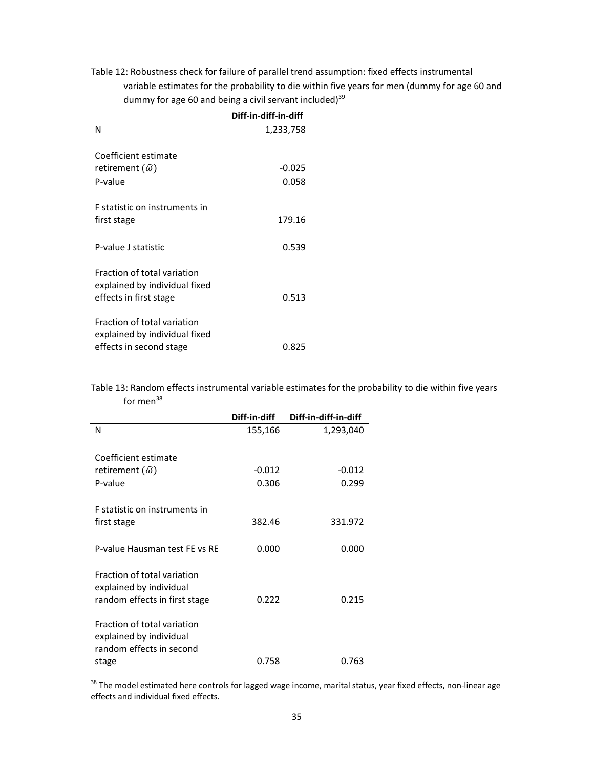Table 12: Robustness check for failure of parallel trend assumption: fixed effects instrumental variable estimates for the probability to die within five years for men (dummy for age 60 and dummy for age 60 and being a civil servant included) $39$ 

|                                                                                               | Diff-in-diff-in-diff |
|-----------------------------------------------------------------------------------------------|----------------------|
| N                                                                                             | 1,233,758            |
| Coefficient estimate                                                                          |                      |
| retirement $(\widehat{\omega})$                                                               | $-0.025$             |
| P-value                                                                                       | 0.058                |
| <b>F</b> statistic on instruments in<br>first stage                                           | 179.16               |
| P-value J statistic                                                                           | 0.539                |
| <b>Fraction of total variation</b><br>explained by individual fixed<br>effects in first stage | 0.513                |
| Fraction of total variation<br>explained by individual fixed<br>effects in second stage       | 0.825                |

Table 13: Random effects instrumental variable estimates for the probability to die within five years for men $38$ 

|                                                                                         | Diff-in-diff | Diff-in-diff-in-diff |
|-----------------------------------------------------------------------------------------|--------------|----------------------|
| N                                                                                       | 155,166      | 1,293,040            |
| Coefficient estimate                                                                    |              |                      |
| retirement $(\widehat{\omega})$                                                         | $-0.012$     | $-0.012$             |
| P-value                                                                                 | 0.306        | 0.299                |
| F statistic on instruments in<br>first stage                                            | 382.46       | 331.972              |
|                                                                                         |              |                      |
| P-value Hausman test FE vs RE                                                           | 0.000        | 0.000                |
| Fraction of total variation<br>explained by individual<br>random effects in first stage | 0.222        | 0.215                |
| Fraction of total variation<br>explained by individual<br>random effects in second      |              |                      |
| stage                                                                                   | 0.758        | 0.763                |

 $^{38}$  The model estimated here controls for lagged wage income, marital status, year fixed effects, non-linear age effects and individual fixed effects.